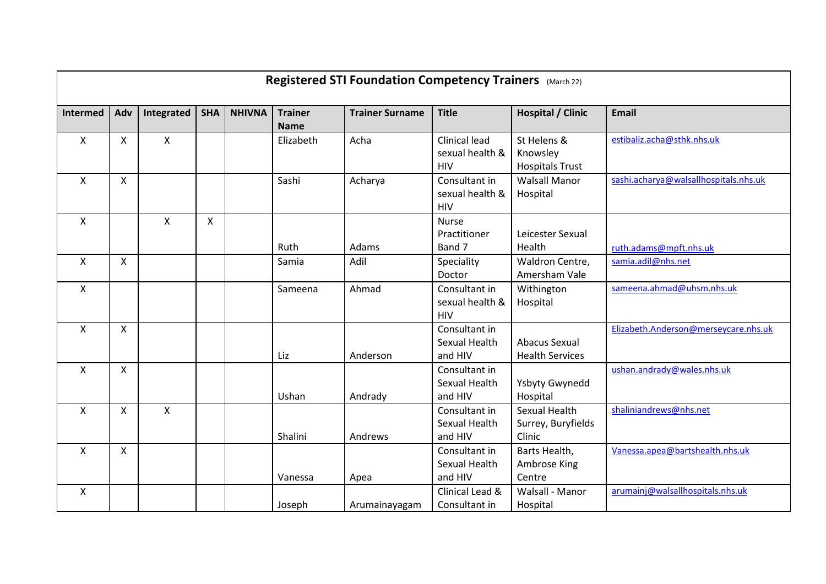| Registered STI Foundation Competency Trainers (March 22) |              |            |              |               |                               |                        |                                                       |                                                   |                                       |  |  |
|----------------------------------------------------------|--------------|------------|--------------|---------------|-------------------------------|------------------------|-------------------------------------------------------|---------------------------------------------------|---------------------------------------|--|--|
| Intermed                                                 | Adv          | Integrated | <b>SHA</b>   | <b>NHIVNA</b> | <b>Trainer</b><br><b>Name</b> | <b>Trainer Surname</b> | <b>Title</b>                                          | <b>Hospital / Clinic</b>                          | <b>Email</b>                          |  |  |
| X                                                        | $\mathsf{X}$ | X          |              |               | Elizabeth                     | Acha                   | <b>Clinical lead</b><br>sexual health &<br><b>HIV</b> | St Helens &<br>Knowsley<br><b>Hospitals Trust</b> | estibaliz.acha@sthk.nhs.uk            |  |  |
| $\mathsf{X}$                                             | $\mathsf{x}$ |            |              |               | Sashi                         | Acharya                | Consultant in<br>sexual health &<br><b>HIV</b>        | <b>Walsall Manor</b><br>Hospital                  | sashi.acharya@walsallhospitals.nhs.uk |  |  |
| X                                                        |              | X          | $\mathsf{X}$ |               | Ruth                          | Adams                  | <b>Nurse</b><br>Practitioner<br>Band 7                | Leicester Sexual<br>Health                        | ruth.adams@mpft.nhs.uk                |  |  |
| X                                                        | X            |            |              |               | Samia                         | Adil                   | Speciality<br>Doctor                                  | Waldron Centre,<br>Amersham Vale                  | samia.adil@nhs.net                    |  |  |
| $\boldsymbol{\mathsf{X}}$                                |              |            |              |               | Sameena                       | Ahmad                  | Consultant in<br>sexual health &<br><b>HIV</b>        | Withington<br>Hospital                            | sameena.ahmad@uhsm.nhs.uk             |  |  |
| $\mathsf{X}$                                             | X            |            |              |               | Liz                           | Anderson               | Consultant in<br>Sexual Health<br>and HIV             | Abacus Sexual<br><b>Health Services</b>           | Elizabeth.Anderson@merseycare.nhs.uk  |  |  |
| $\mathsf{X}$                                             | $\mathsf{x}$ |            |              |               | Ushan                         | Andrady                | Consultant in<br>Sexual Health<br>and HIV             | Ysbyty Gwynedd<br>Hospital                        | ushan.andrady@wales.nhs.uk            |  |  |
| X                                                        | X            | X          |              |               | Shalini                       | Andrews                | Consultant in<br>Sexual Health<br>and HIV             | Sexual Health<br>Surrey, Buryfields<br>Clinic     | shaliniandrews@nhs.net                |  |  |
| $\mathsf{X}$                                             | $\mathsf{x}$ |            |              |               | Vanessa                       | Apea                   | Consultant in<br>Sexual Health<br>and HIV             | Barts Health,<br>Ambrose King<br>Centre           | Vanessa.apea@bartshealth.nhs.uk       |  |  |
| $\boldsymbol{\mathsf{X}}$                                |              |            |              |               | Joseph                        | Arumainayagam          | Clinical Lead &<br>Consultant in                      | Walsall - Manor<br>Hospital                       | arumainj@walsallhospitals.nhs.uk      |  |  |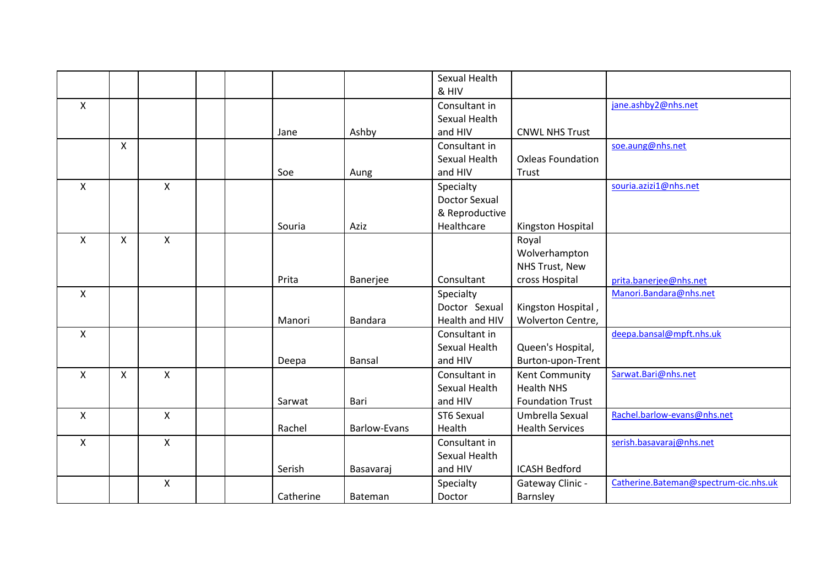|              |              |              |           |                     | Sexual Health        |                          |                                       |
|--------------|--------------|--------------|-----------|---------------------|----------------------|--------------------------|---------------------------------------|
|              |              |              |           |                     | & HIV                |                          |                                       |
| $\mathsf{X}$ |              |              |           |                     | Consultant in        |                          | jane.ashby2@nhs.net                   |
|              |              |              |           |                     | Sexual Health        |                          |                                       |
|              |              |              | Jane      | Ashby               | and HIV              | <b>CNWL NHS Trust</b>    |                                       |
|              | $\mathsf{X}$ |              |           |                     | Consultant in        |                          | soe.aung@nhs.net                      |
|              |              |              |           |                     | Sexual Health        | <b>Oxleas Foundation</b> |                                       |
|              |              |              | Soe       | Aung                | and HIV              | Trust                    |                                       |
| $\mathsf{X}$ |              | X            |           |                     | Specialty            |                          | souria.azizi1@nhs.net                 |
|              |              |              |           |                     | <b>Doctor Sexual</b> |                          |                                       |
|              |              |              |           |                     | & Reproductive       |                          |                                       |
|              |              |              | Souria    | Aziz                | Healthcare           | Kingston Hospital        |                                       |
| $\mathsf{x}$ | $\mathsf{X}$ | $\mathsf{X}$ |           |                     |                      | Royal                    |                                       |
|              |              |              |           |                     |                      | Wolverhampton            |                                       |
|              |              |              |           |                     |                      | NHS Trust, New           |                                       |
|              |              |              | Prita     | Banerjee            | Consultant           | cross Hospital           | prita.banerjee@nhs.net                |
| X            |              |              |           |                     | Specialty            |                          | Manori.Bandara@nhs.net                |
|              |              |              |           |                     | Doctor Sexual        | Kingston Hospital,       |                                       |
|              |              |              | Manori    | <b>Bandara</b>      | Health and HIV       | Wolverton Centre,        |                                       |
| X            |              |              |           |                     | Consultant in        |                          | deepa.bansal@mpft.nhs.uk              |
|              |              |              |           |                     | Sexual Health        | Queen's Hospital,        |                                       |
|              |              |              | Deepa     | Bansal              | and HIV              | Burton-upon-Trent        |                                       |
| X            | $\mathsf{X}$ | X            |           |                     | Consultant in        | Kent Community           | Sarwat.Bari@nhs.net                   |
|              |              |              |           |                     | Sexual Health        | <b>Health NHS</b>        |                                       |
|              |              |              | Sarwat    | Bari                | and HIV              | <b>Foundation Trust</b>  |                                       |
| X            |              | X            |           |                     | ST6 Sexual           | Umbrella Sexual          | Rachel.barlow-evans@nhs.net           |
|              |              |              | Rachel    | <b>Barlow-Evans</b> | Health               | <b>Health Services</b>   |                                       |
| X            |              | X            |           |                     | Consultant in        |                          | serish.basavaraj@nhs.net              |
|              |              |              |           |                     | Sexual Health        |                          |                                       |
|              |              |              | Serish    | Basavaraj           | and HIV              | <b>ICASH Bedford</b>     |                                       |
|              |              | Χ            |           |                     | Specialty            | Gateway Clinic -         | Catherine.Bateman@spectrum-cic.nhs.uk |
|              |              |              | Catherine | Bateman             | Doctor               | Barnsley                 |                                       |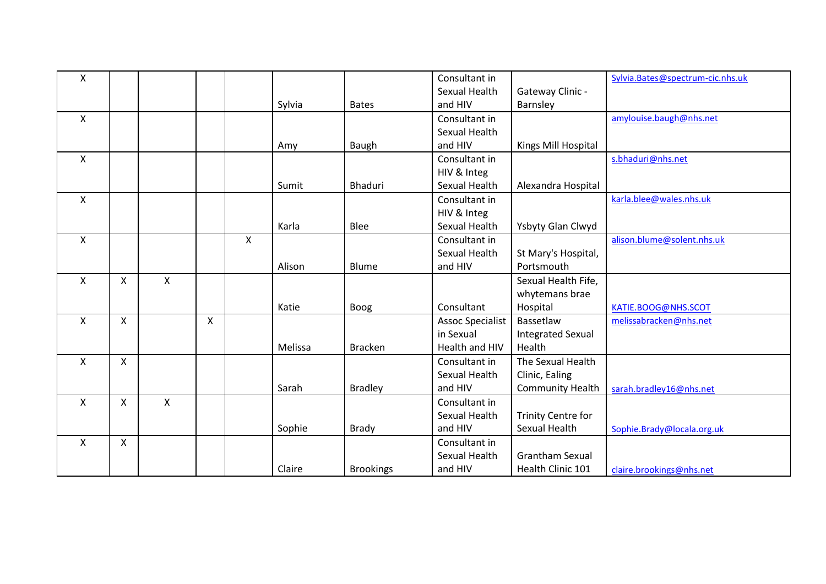| X                         |                    |              |              |   |         |                  | Consultant in           |                           | Sylvia.Bates@spectrum-cic.nhs.uk |
|---------------------------|--------------------|--------------|--------------|---|---------|------------------|-------------------------|---------------------------|----------------------------------|
|                           |                    |              |              |   |         |                  | Sexual Health           | Gateway Clinic -          |                                  |
|                           |                    |              |              |   | Sylvia  | <b>Bates</b>     | and HIV                 | Barnsley                  |                                  |
| $\mathsf{X}$              |                    |              |              |   |         |                  | Consultant in           |                           | amylouise.baugh@nhs.net          |
|                           |                    |              |              |   |         |                  | Sexual Health           |                           |                                  |
|                           |                    |              |              |   | Amy     | Baugh            | and HIV                 | Kings Mill Hospital       |                                  |
| $\mathsf{x}$              |                    |              |              |   |         |                  | Consultant in           |                           | s.bhaduri@nhs.net                |
|                           |                    |              |              |   |         |                  | HIV & Integ             |                           |                                  |
|                           |                    |              |              |   | Sumit   | <b>Bhaduri</b>   | Sexual Health           | Alexandra Hospital        |                                  |
| $\mathsf{X}$              |                    |              |              |   |         |                  | Consultant in           |                           | karla.blee@wales.nhs.uk          |
|                           |                    |              |              |   |         |                  | HIV & Integ             |                           |                                  |
|                           |                    |              |              |   | Karla   | Blee             | Sexual Health           | Ysbyty Glan Clwyd         |                                  |
| $\mathsf{x}$              |                    |              |              | X |         |                  | Consultant in           |                           | alison.blume@solent.nhs.uk       |
|                           |                    |              |              |   |         |                  | Sexual Health           | St Mary's Hospital,       |                                  |
|                           |                    |              |              |   | Alison  | Blume            | and HIV                 | Portsmouth                |                                  |
| $\mathsf{X}$              | $\pmb{\mathsf{X}}$ | $\mathsf{X}$ |              |   |         |                  |                         | Sexual Health Fife,       |                                  |
|                           |                    |              |              |   |         |                  |                         | whytemans brae            |                                  |
|                           |                    |              |              |   | Katie   | Boog             | Consultant              | Hospital                  | KATIE.BOOG@NHS.SCOT              |
| $\mathsf{X}$              | $\mathsf{x}$       |              | $\mathsf{X}$ |   |         |                  | <b>Assoc Specialist</b> | Bassetlaw                 | melissabracken@nhs.net           |
|                           |                    |              |              |   |         |                  | in Sexual               | <b>Integrated Sexual</b>  |                                  |
|                           |                    |              |              |   | Melissa | <b>Bracken</b>   | Health and HIV          | Health                    |                                  |
| $\mathsf{X}$              | X                  |              |              |   |         |                  | Consultant in           | The Sexual Health         |                                  |
|                           |                    |              |              |   |         |                  | Sexual Health           | Clinic, Ealing            |                                  |
|                           |                    |              |              |   | Sarah   | <b>Bradley</b>   | and HIV                 | <b>Community Health</b>   | sarah.bradley16@nhs.net          |
| $\mathsf{X}$              | X                  | X            |              |   |         |                  | Consultant in           |                           |                                  |
|                           |                    |              |              |   |         |                  | Sexual Health           | <b>Trinity Centre for</b> |                                  |
|                           |                    |              |              |   | Sophie  | Brady            | and HIV                 | Sexual Health             | Sophie.Brady@locala.org.uk       |
| $\boldsymbol{\mathsf{X}}$ | $\mathsf{x}$       |              |              |   |         |                  | Consultant in           |                           |                                  |
|                           |                    |              |              |   |         |                  | Sexual Health           | <b>Grantham Sexual</b>    |                                  |
|                           |                    |              |              |   | Claire  | <b>Brookings</b> | and HIV                 | Health Clinic 101         | claire.brookings@nhs.net         |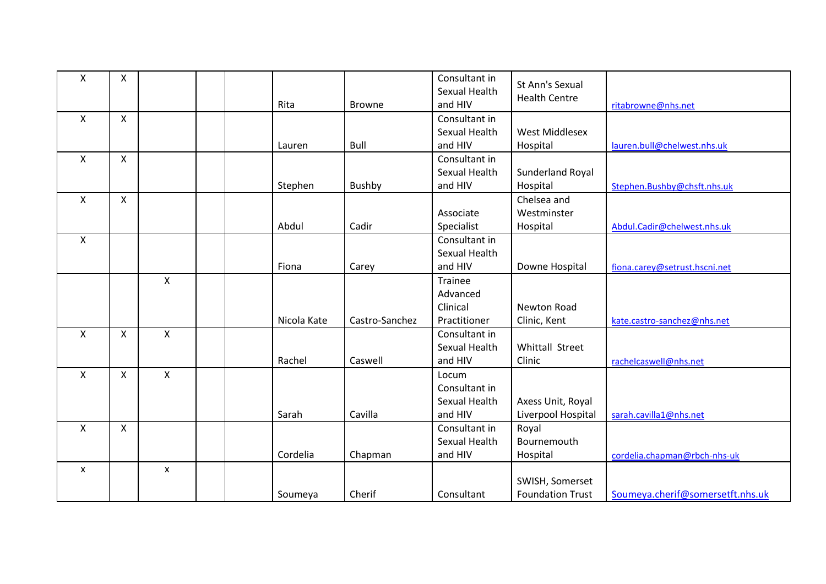| Χ | X            |   | Rita        | <b>Browne</b>  | Consultant in<br>Sexual Health<br>and HIV | St Ann's Sexual<br><b>Health Centre</b> | ritabrowne@nhs.net               |
|---|--------------|---|-------------|----------------|-------------------------------------------|-----------------------------------------|----------------------------------|
| X | $\mathsf{X}$ |   |             |                | Consultant in                             |                                         |                                  |
|   |              |   |             |                | Sexual Health                             | West Middlesex                          |                                  |
|   |              |   | Lauren      | Bull           | and HIV                                   | Hospital                                | lauren.bull@chelwest.nhs.uk      |
| X | $\mathsf{X}$ |   |             |                | Consultant in                             |                                         |                                  |
|   |              |   |             |                | Sexual Health                             | Sunderland Royal                        |                                  |
|   |              |   | Stephen     | <b>Bushby</b>  | and HIV                                   | Hospital                                | Stephen.Bushby@chsft.nhs.uk      |
| X | X            |   |             |                |                                           | Chelsea and                             |                                  |
|   |              |   |             |                | Associate                                 | Westminster                             |                                  |
|   |              |   | Abdul       | Cadir          | Specialist                                | Hospital                                | Abdul.Cadir@chelwest.nhs.uk      |
| X |              |   |             |                | Consultant in                             |                                         |                                  |
|   |              |   |             |                | Sexual Health                             |                                         |                                  |
|   |              |   | Fiona       | Carey          | and HIV                                   | Downe Hospital                          | fiona.carey@setrust.hscni.net    |
|   |              | X |             |                | <b>Trainee</b>                            |                                         |                                  |
|   |              |   |             |                | Advanced                                  |                                         |                                  |
|   |              |   |             |                | Clinical                                  | <b>Newton Road</b>                      |                                  |
|   |              |   | Nicola Kate | Castro-Sanchez | Practitioner                              | Clinic, Kent                            | kate.castro-sanchez@nhs.net      |
| X | $\mathsf{X}$ | X |             |                | Consultant in                             |                                         |                                  |
|   |              |   |             |                | Sexual Health                             | Whittall Street                         |                                  |
|   |              |   | Rachel      | Caswell        | and HIV                                   | Clinic                                  | rachelcaswell@nhs.net            |
| Χ | X            | X |             |                | Locum                                     |                                         |                                  |
|   |              |   |             |                | Consultant in                             |                                         |                                  |
|   |              |   |             |                | Sexual Health                             | Axess Unit, Royal                       |                                  |
|   |              |   | Sarah       | Cavilla        | and HIV                                   | Liverpool Hospital                      | sarah.cavilla1@nhs.net           |
| Χ | X            |   |             |                | Consultant in                             | Royal                                   |                                  |
|   |              |   |             |                | Sexual Health                             | Bournemouth                             |                                  |
|   |              |   | Cordelia    | Chapman        | and HIV                                   | Hospital                                | cordelia.chapman@rbch-nhs-uk     |
| X |              | X |             |                |                                           |                                         |                                  |
|   |              |   |             |                |                                           | SWISH, Somerset                         |                                  |
|   |              |   | Soumeya     | Cherif         | Consultant                                | <b>Foundation Trust</b>                 | Soumeya.cherif@somersetft.nhs.uk |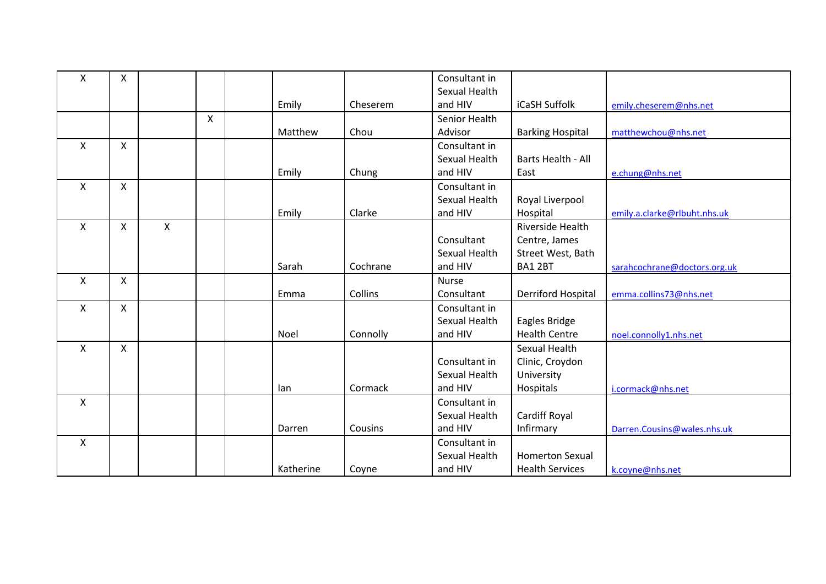| Χ                         | X            |   |   |           |          | Consultant in |                           |                              |
|---------------------------|--------------|---|---|-----------|----------|---------------|---------------------------|------------------------------|
|                           |              |   |   |           |          | Sexual Health |                           |                              |
|                           |              |   |   | Emily     | Cheserem | and HIV       | iCaSH Suffolk             | emily.cheserem@nhs.net       |
|                           |              |   | X |           |          | Senior Health |                           |                              |
|                           |              |   |   | Matthew   | Chou     | Advisor       | <b>Barking Hospital</b>   | matthewchou@nhs.net          |
| X                         | $\mathsf{X}$ |   |   |           |          | Consultant in |                           |                              |
|                           |              |   |   |           |          | Sexual Health | Barts Health - All        |                              |
|                           |              |   |   | Emily     | Chung    | and HIV       | East                      | e.chung@nhs.net              |
| X                         | $\mathsf{X}$ |   |   |           |          | Consultant in |                           |                              |
|                           |              |   |   |           |          | Sexual Health | Royal Liverpool           |                              |
|                           |              |   |   | Emily     | Clarke   | and HIV       | Hospital                  | emily.a.clarke@rlbuht.nhs.uk |
| X                         | X            | X |   |           |          |               | Riverside Health          |                              |
|                           |              |   |   |           |          | Consultant    | Centre, James             |                              |
|                           |              |   |   |           |          | Sexual Health | Street West, Bath         |                              |
|                           |              |   |   | Sarah     | Cochrane | and HIV       | BA1 2BT                   | sarahcochrane@doctors.org.uk |
| $\boldsymbol{\mathsf{X}}$ | X            |   |   |           |          | <b>Nurse</b>  |                           |                              |
|                           |              |   |   | Emma      | Collins  | Consultant    | <b>Derriford Hospital</b> | emma.collins73@nhs.net       |
| X                         | X            |   |   |           |          | Consultant in |                           |                              |
|                           |              |   |   |           |          | Sexual Health | Eagles Bridge             |                              |
|                           |              |   |   | Noel      | Connolly | and HIV       | <b>Health Centre</b>      | noel.connolly1.nhs.net       |
| $\mathsf{X}$              | X            |   |   |           |          |               | <b>Sexual Health</b>      |                              |
|                           |              |   |   |           |          | Consultant in | Clinic, Croydon           |                              |
|                           |              |   |   |           |          | Sexual Health | University                |                              |
|                           |              |   |   | lan       | Cormack  | and HIV       | Hospitals                 | i.cormack@nhs.net            |
| X                         |              |   |   |           |          | Consultant in |                           |                              |
|                           |              |   |   |           |          | Sexual Health | Cardiff Royal             |                              |
|                           |              |   |   | Darren    | Cousins  | and HIV       | Infirmary                 | Darren.Cousins@wales.nhs.uk  |
| X                         |              |   |   |           |          | Consultant in |                           |                              |
|                           |              |   |   |           |          | Sexual Health | <b>Homerton Sexual</b>    |                              |
|                           |              |   |   | Katherine | Coyne    | and HIV       | <b>Health Services</b>    | k.coyne@nhs.net              |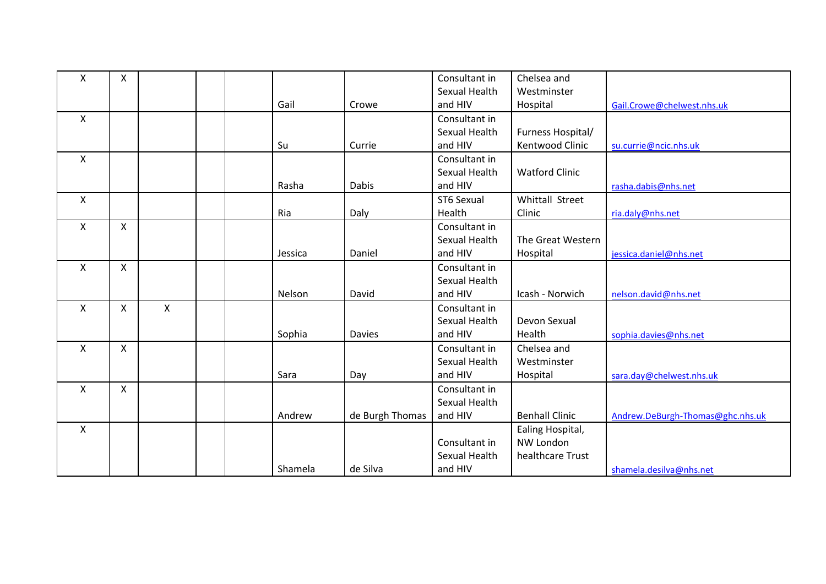| Χ | $\pmb{\times}$ |   |         |                 | Consultant in | Chelsea and           |                                  |
|---|----------------|---|---------|-----------------|---------------|-----------------------|----------------------------------|
|   |                |   |         |                 | Sexual Health | Westminster           |                                  |
|   |                |   | Gail    | Crowe           | and HIV       | Hospital              | Gail.Crowe@chelwest.nhs.uk       |
| X |                |   |         |                 | Consultant in |                       |                                  |
|   |                |   |         |                 | Sexual Health | Furness Hospital/     |                                  |
|   |                |   | Su      | Currie          | and HIV       | Kentwood Clinic       | su.currie@ncic.nhs.uk            |
| X |                |   |         |                 | Consultant in |                       |                                  |
|   |                |   |         |                 | Sexual Health | <b>Watford Clinic</b> |                                  |
|   |                |   | Rasha   | Dabis           | and HIV       |                       | rasha.dabis@nhs.net              |
| X |                |   |         |                 | ST6 Sexual    | Whittall Street       |                                  |
|   |                |   | Ria     | Daly            | Health        | Clinic                | ria.daly@nhs.net                 |
| X | $\mathsf{X}$   |   |         |                 | Consultant in |                       |                                  |
|   |                |   |         |                 | Sexual Health | The Great Western     |                                  |
|   |                |   | Jessica | Daniel          | and HIV       | Hospital              | jessica.daniel@nhs.net           |
| X | X              |   |         |                 | Consultant in |                       |                                  |
|   |                |   |         |                 | Sexual Health |                       |                                  |
|   |                |   | Nelson  | David           | and HIV       | Icash - Norwich       | nelson.david@nhs.net             |
| X | X              | X |         |                 | Consultant in |                       |                                  |
|   |                |   |         |                 | Sexual Health | Devon Sexual          |                                  |
|   |                |   | Sophia  | <b>Davies</b>   | and HIV       | Health                | sophia.davies@nhs.net            |
| X | X              |   |         |                 | Consultant in | Chelsea and           |                                  |
|   |                |   |         |                 | Sexual Health | Westminster           |                                  |
|   |                |   | Sara    | Day             | and HIV       | Hospital              | sara.day@chelwest.nhs.uk         |
| X | $\pmb{\times}$ |   |         |                 | Consultant in |                       |                                  |
|   |                |   |         |                 | Sexual Health |                       |                                  |
|   |                |   | Andrew  | de Burgh Thomas | and HIV       | <b>Benhall Clinic</b> | Andrew.DeBurgh-Thomas@ghc.nhs.uk |
| X |                |   |         |                 |               | Ealing Hospital,      |                                  |
|   |                |   |         |                 | Consultant in | <b>NW London</b>      |                                  |
|   |                |   |         |                 | Sexual Health | healthcare Trust      |                                  |
|   |                |   | Shamela | de Silva        | and HIV       |                       | shamela.desilva@nhs.net          |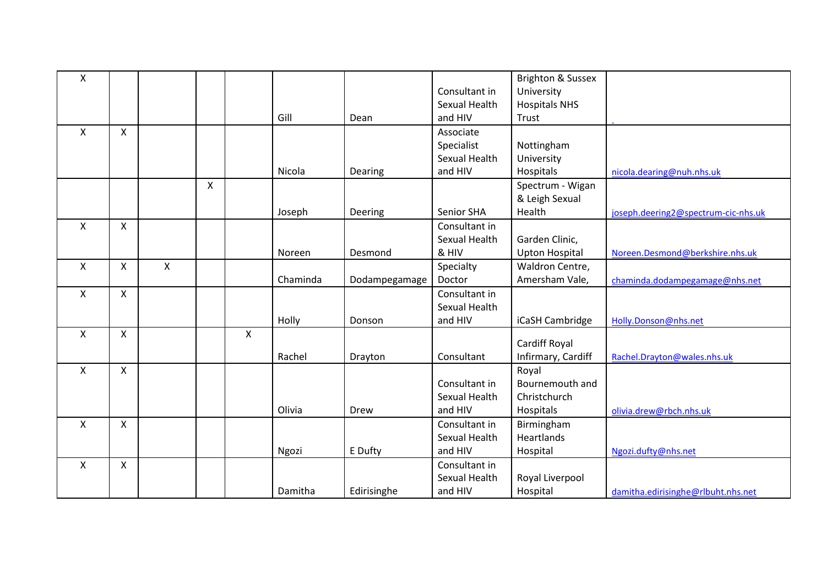| Χ            |              |   |              |   |          |               |               | <b>Brighton &amp; Sussex</b> |                                     |
|--------------|--------------|---|--------------|---|----------|---------------|---------------|------------------------------|-------------------------------------|
|              |              |   |              |   |          |               | Consultant in | University                   |                                     |
|              |              |   |              |   |          |               | Sexual Health | <b>Hospitals NHS</b>         |                                     |
|              |              |   |              |   | Gill     | Dean          | and HIV       | Trust                        |                                     |
| $\mathsf{x}$ | $\mathsf{X}$ |   |              |   |          |               | Associate     |                              |                                     |
|              |              |   |              |   |          |               | Specialist    | Nottingham                   |                                     |
|              |              |   |              |   |          |               | Sexual Health | University                   |                                     |
|              |              |   |              |   | Nicola   | Dearing       | and HIV       | Hospitals                    | nicola.dearing@nuh.nhs.uk           |
|              |              |   | $\mathsf{X}$ |   |          |               |               | Spectrum - Wigan             |                                     |
|              |              |   |              |   |          |               |               | & Leigh Sexual               |                                     |
|              |              |   |              |   | Joseph   | Deering       | Senior SHA    | Health                       | joseph.deering2@spectrum-cic-nhs.uk |
| X            | X            |   |              |   |          |               | Consultant in |                              |                                     |
|              |              |   |              |   |          |               | Sexual Health | Garden Clinic,               |                                     |
|              |              |   |              |   | Noreen   | Desmond       | & HIV         | <b>Upton Hospital</b>        | Noreen.Desmond@berkshire.nhs.uk     |
| X            | X            | Χ |              |   |          |               | Specialty     | Waldron Centre,              |                                     |
|              |              |   |              |   | Chaminda | Dodampegamage | Doctor        | Amersham Vale,               | chaminda.dodampegamage@nhs.net      |
| X            | $\mathsf{X}$ |   |              |   |          |               | Consultant in |                              |                                     |
|              |              |   |              |   |          |               | Sexual Health |                              |                                     |
|              |              |   |              |   | Holly    | Donson        | and HIV       | iCaSH Cambridge              | Holly.Donson@nhs.net                |
| $\mathsf{x}$ | X            |   |              | X |          |               |               |                              |                                     |
|              |              |   |              |   |          |               |               | Cardiff Royal                |                                     |
|              |              |   |              |   | Rachel   | Drayton       | Consultant    | Infirmary, Cardiff           | Rachel.Drayton@wales.nhs.uk         |
| X            | X            |   |              |   |          |               |               | Royal                        |                                     |
|              |              |   |              |   |          |               | Consultant in | Bournemouth and              |                                     |
|              |              |   |              |   |          |               | Sexual Health | Christchurch                 |                                     |
|              |              |   |              |   | Olivia   | Drew          | and HIV       | Hospitals                    | olivia.drew@rbch.nhs.uk             |
| X            | X            |   |              |   |          |               | Consultant in | Birmingham                   |                                     |
|              |              |   |              |   |          |               | Sexual Health | Heartlands                   |                                     |
|              |              |   |              |   | Ngozi    | E Dufty       | and HIV       | Hospital                     | Ngozi.dufty@nhs.net                 |
| Χ            | X            |   |              |   |          |               | Consultant in |                              |                                     |
|              |              |   |              |   |          |               | Sexual Health | Royal Liverpool              |                                     |
|              |              |   |              |   | Damitha  | Edirisinghe   | and HIV       | Hospital                     | damitha.edirisinghe@rlbuht.nhs.net  |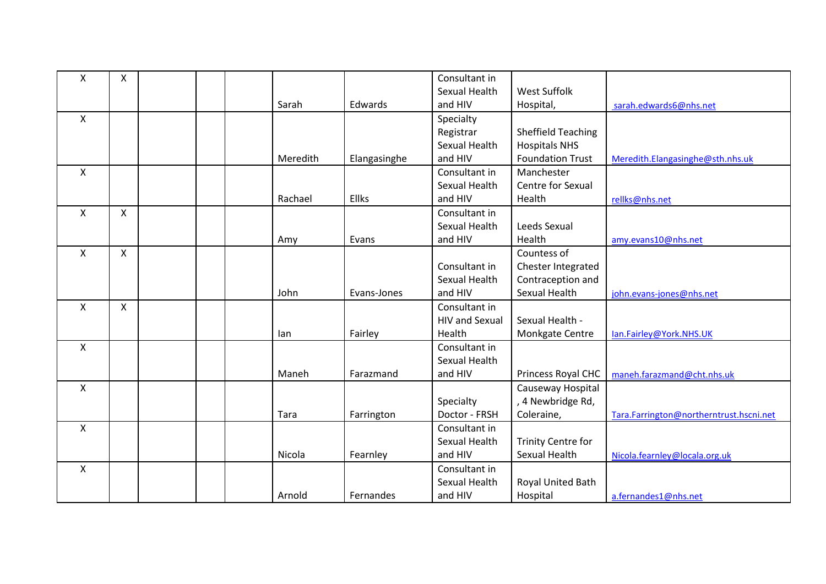| X                         | $\mathsf{X}$ |  |          |              | Consultant in         |                           |                                         |
|---------------------------|--------------|--|----------|--------------|-----------------------|---------------------------|-----------------------------------------|
|                           |              |  |          |              | Sexual Health         | West Suffolk              |                                         |
|                           |              |  | Sarah    | Edwards      | and HIV               | Hospital,                 | sarah.edwards6@nhs.net                  |
| X                         |              |  |          |              | Specialty             |                           |                                         |
|                           |              |  |          |              | Registrar             | <b>Sheffield Teaching</b> |                                         |
|                           |              |  |          |              | Sexual Health         | <b>Hospitals NHS</b>      |                                         |
|                           |              |  | Meredith | Elangasinghe | and HIV               | <b>Foundation Trust</b>   | Meredith.Elangasinghe@sth.nhs.uk        |
| $\mathsf{X}$              |              |  |          |              | Consultant in         | Manchester                |                                         |
|                           |              |  |          |              | Sexual Health         | Centre for Sexual         |                                         |
|                           |              |  | Rachael  | Ellks        | and HIV               | Health                    | rellks@nhs.net                          |
| $\mathsf{x}$              | $\mathsf{X}$ |  |          |              | Consultant in         |                           |                                         |
|                           |              |  |          |              | Sexual Health         | Leeds Sexual              |                                         |
|                           |              |  | Amy      | Evans        | and HIV               | Health                    | amy.evans10@nhs.net                     |
| $\mathsf{X}$              | $\mathsf{x}$ |  |          |              |                       | Countess of               |                                         |
|                           |              |  |          |              | Consultant in         | Chester Integrated        |                                         |
|                           |              |  |          |              | Sexual Health         | Contraception and         |                                         |
|                           |              |  | John     | Evans-Jones  | and HIV               | Sexual Health             | john.evans-jones@nhs.net                |
| $\boldsymbol{\mathsf{X}}$ | $\mathsf{X}$ |  |          |              | Consultant in         |                           |                                         |
|                           |              |  |          |              | <b>HIV and Sexual</b> | Sexual Health -           |                                         |
|                           |              |  | lan      | Fairley      | Health                | Monkgate Centre           | lan.Fairley@York.NHS.UK                 |
| $\boldsymbol{\mathsf{X}}$ |              |  |          |              | Consultant in         |                           |                                         |
|                           |              |  |          |              | Sexual Health         |                           |                                         |
|                           |              |  | Maneh    | Farazmand    | and HIV               | Princess Royal CHC        | maneh.farazmand@cht.nhs.uk              |
| $\boldsymbol{\mathsf{X}}$ |              |  |          |              |                       | Causeway Hospital         |                                         |
|                           |              |  |          |              | Specialty             | , 4 Newbridge Rd,         |                                         |
|                           |              |  | Tara     | Farrington   | Doctor - FRSH         | Coleraine,                | Tara.Farrington@northerntrust.hscni.net |
| $\pmb{\mathsf{X}}$        |              |  |          |              | Consultant in         |                           |                                         |
|                           |              |  |          |              | Sexual Health         | <b>Trinity Centre for</b> |                                         |
|                           |              |  | Nicola   | Fearnley     | and HIV               | Sexual Health             | Nicola.fearnley@locala.org.uk           |
| $\boldsymbol{\mathsf{X}}$ |              |  |          |              | Consultant in         |                           |                                         |
|                           |              |  |          |              | Sexual Health         | Royal United Bath         |                                         |
|                           |              |  | Arnold   | Fernandes    | and HIV               | Hospital                  | a.fernandes1@nhs.net                    |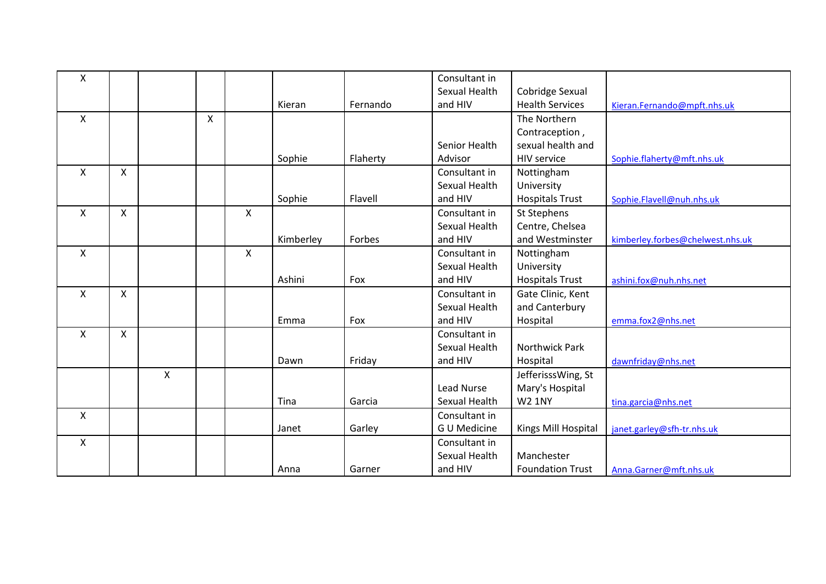| X                         |                    |   |   |                    |           |          | Consultant in      |                         |                                  |
|---------------------------|--------------------|---|---|--------------------|-----------|----------|--------------------|-------------------------|----------------------------------|
|                           |                    |   |   |                    |           |          | Sexual Health      | Cobridge Sexual         |                                  |
|                           |                    |   |   |                    | Kieran    | Fernando | and HIV            | <b>Health Services</b>  | Kieran.Fernando@mpft.nhs.uk      |
| $\mathsf{X}$              |                    |   | X |                    |           |          |                    | The Northern            |                                  |
|                           |                    |   |   |                    |           |          |                    | Contraception,          |                                  |
|                           |                    |   |   |                    |           |          | Senior Health      | sexual health and       |                                  |
|                           |                    |   |   |                    | Sophie    | Flaherty | Advisor            | <b>HIV service</b>      | Sophie.flaherty@mft.nhs.uk       |
| $\boldsymbol{\mathsf{X}}$ | X                  |   |   |                    |           |          | Consultant in      | Nottingham              |                                  |
|                           |                    |   |   |                    |           |          | Sexual Health      | University              |                                  |
|                           |                    |   |   |                    | Sophie    | Flavell  | and HIV            | <b>Hospitals Trust</b>  | Sophie.Flavell@nuh.nhs.uk        |
| X                         | $\pmb{\mathsf{X}}$ |   |   | X                  |           |          | Consultant in      | St Stephens             |                                  |
|                           |                    |   |   |                    |           |          | Sexual Health      | Centre, Chelsea         |                                  |
|                           |                    |   |   |                    | Kimberley | Forbes   | and HIV            | and Westminster         | kimberley.forbes@chelwest.nhs.uk |
| $\mathsf{X}$              |                    |   |   | $\pmb{\mathsf{X}}$ |           |          | Consultant in      | Nottingham              |                                  |
|                           |                    |   |   |                    |           |          | Sexual Health      | University              |                                  |
|                           |                    |   |   |                    | Ashini    | Fox      | and HIV            | <b>Hospitals Trust</b>  | ashini.fox@nuh.nhs.net           |
| X                         | $\pmb{\mathsf{X}}$ |   |   |                    |           |          | Consultant in      | Gate Clinic, Kent       |                                  |
|                           |                    |   |   |                    |           |          | Sexual Health      | and Canterbury          |                                  |
|                           |                    |   |   |                    | Emma      | Fox      | and HIV            | Hospital                | emma.fox2@nhs.net                |
| $\mathsf{X}$              | X                  |   |   |                    |           |          | Consultant in      |                         |                                  |
|                           |                    |   |   |                    |           |          | Sexual Health      | Northwick Park          |                                  |
|                           |                    |   |   |                    | Dawn      | Friday   | and HIV            | Hospital                | dawnfriday@nhs.net               |
|                           |                    | X |   |                    |           |          |                    | JefferisssWing, St      |                                  |
|                           |                    |   |   |                    |           |          | Lead Nurse         | Mary's Hospital         |                                  |
|                           |                    |   |   |                    | Tina      | Garcia   | Sexual Health      | <b>W2 1NY</b>           | tina.garcia@nhs.net              |
| X                         |                    |   |   |                    |           |          | Consultant in      |                         |                                  |
|                           |                    |   |   |                    | Janet     | Garley   | <b>GU Medicine</b> | Kings Mill Hospital     | janet.garley@sfh-tr.nhs.uk       |
| X                         |                    |   |   |                    |           |          | Consultant in      |                         |                                  |
|                           |                    |   |   |                    |           |          | Sexual Health      | Manchester              |                                  |
|                           |                    |   |   |                    | Anna      | Garner   | and HIV            | <b>Foundation Trust</b> | Anna.Garner@mft.nhs.uk           |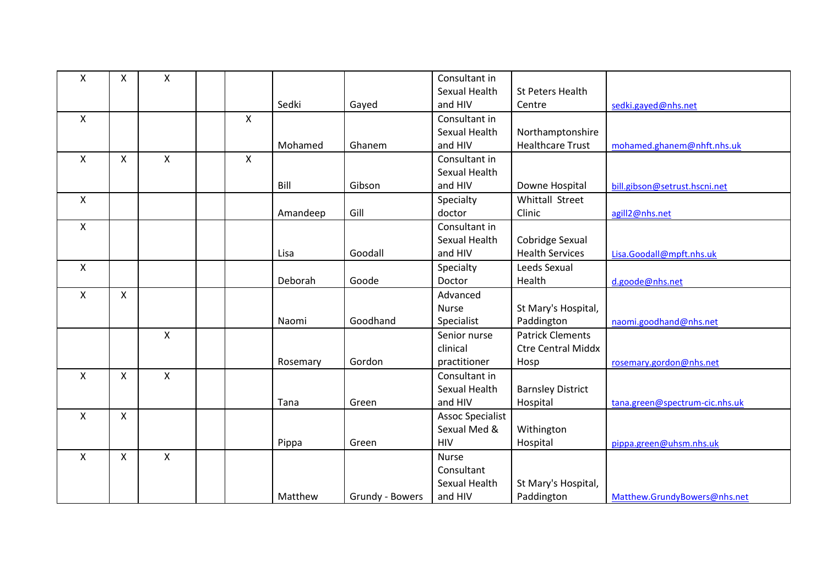| X                  | X                  | Χ            |   |          |                 | Consultant in           |                           |                                |
|--------------------|--------------------|--------------|---|----------|-----------------|-------------------------|---------------------------|--------------------------------|
|                    |                    |              |   |          |                 | Sexual Health           | St Peters Health          |                                |
|                    |                    |              |   | Sedki    | Gayed           | and HIV                 | Centre                    | sedki.gayed@nhs.net            |
| X                  |                    |              | X |          |                 | Consultant in           |                           |                                |
|                    |                    |              |   |          |                 | Sexual Health           | Northamptonshire          |                                |
|                    |                    |              |   | Mohamed  | Ghanem          | and HIV                 | <b>Healthcare Trust</b>   | mohamed.ghanem@nhft.nhs.uk     |
| X                  | X                  | X            | X |          |                 | Consultant in           |                           |                                |
|                    |                    |              |   |          |                 | Sexual Health           |                           |                                |
|                    |                    |              |   | Bill     | Gibson          | and HIV                 | Downe Hospital            | bill.gibson@setrust.hscni.net  |
| X                  |                    |              |   |          |                 | Specialty               | Whittall Street           |                                |
|                    |                    |              |   | Amandeep | Gill            | doctor                  | Clinic                    | agill2@nhs.net                 |
| $\pmb{\mathsf{X}}$ |                    |              |   |          |                 | Consultant in           |                           |                                |
|                    |                    |              |   |          |                 | Sexual Health           | Cobridge Sexual           |                                |
|                    |                    |              |   | Lisa     | Goodall         | and HIV                 | <b>Health Services</b>    | Lisa.Goodall@mpft.nhs.uk       |
| $\mathsf{X}$       |                    |              |   |          |                 | Specialty               | Leeds Sexual              |                                |
|                    |                    |              |   | Deborah  | Goode           | Doctor                  | Health                    | d.goode@nhs.net                |
| $\pmb{\mathsf{X}}$ | $\pmb{\mathsf{X}}$ |              |   |          |                 | Advanced                |                           |                                |
|                    |                    |              |   |          |                 | <b>Nurse</b>            | St Mary's Hospital,       |                                |
|                    |                    |              |   | Naomi    | Goodhand        | Specialist              | Paddington                | naomi.goodhand@nhs.net         |
|                    |                    | X            |   |          |                 | Senior nurse            | <b>Patrick Clements</b>   |                                |
|                    |                    |              |   |          |                 | clinical                | <b>Ctre Central Middx</b> |                                |
|                    |                    |              |   | Rosemary | Gordon          | practitioner            | Hosp                      | rosemary.gordon@nhs.net        |
| X                  | $\pmb{\times}$     | $\mathsf{X}$ |   |          |                 | Consultant in           |                           |                                |
|                    |                    |              |   |          |                 | Sexual Health           | <b>Barnsley District</b>  |                                |
|                    |                    |              |   | Tana     | Green           | and HIV                 | Hospital                  | tana.green@spectrum-cic.nhs.uk |
| $\mathsf{x}$       | $\pmb{\mathsf{X}}$ |              |   |          |                 | <b>Assoc Specialist</b> |                           |                                |
|                    |                    |              |   |          |                 | Sexual Med &            | Withington                |                                |
|                    |                    |              |   | Pippa    | Green           | <b>HIV</b>              | Hospital                  | pippa.green@uhsm.nhs.uk        |
| X                  | X                  | $\mathsf{x}$ |   |          |                 | <b>Nurse</b>            |                           |                                |
|                    |                    |              |   |          |                 | Consultant              |                           |                                |
|                    |                    |              |   |          |                 | Sexual Health           | St Mary's Hospital,       |                                |
|                    |                    |              |   | Matthew  | Grundy - Bowers | and HIV                 | Paddington                | Matthew.GrundyBowers@nhs.net   |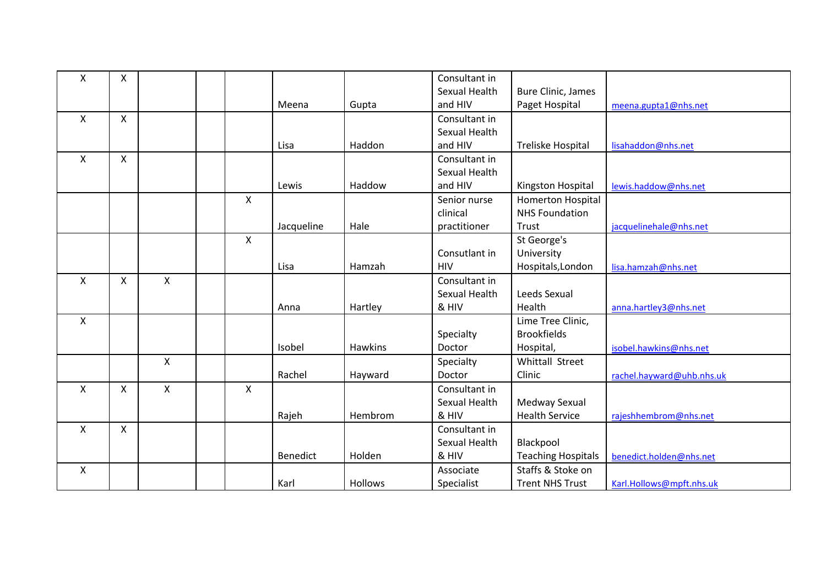| Χ | X            |                    |                           |            |                | Consultant in |                           |                           |
|---|--------------|--------------------|---------------------------|------------|----------------|---------------|---------------------------|---------------------------|
|   |              |                    |                           |            |                | Sexual Health | <b>Bure Clinic, James</b> |                           |
|   |              |                    |                           | Meena      | Gupta          | and HIV       | Paget Hospital            | meena.gupta1@nhs.net      |
| X | $\mathsf{X}$ |                    |                           |            |                | Consultant in |                           |                           |
|   |              |                    |                           |            |                | Sexual Health |                           |                           |
|   |              |                    |                           | Lisa       | Haddon         | and HIV       | Treliske Hospital         | lisahaddon@nhs.net        |
| X | $\mathsf{X}$ |                    |                           |            |                | Consultant in |                           |                           |
|   |              |                    |                           |            |                | Sexual Health |                           |                           |
|   |              |                    |                           | Lewis      | Haddow         | and HIV       | Kingston Hospital         | lewis.haddow@nhs.net      |
|   |              |                    | $\boldsymbol{\mathsf{X}}$ |            |                | Senior nurse  | Homerton Hospital         |                           |
|   |              |                    |                           |            |                | clinical      | <b>NHS Foundation</b>     |                           |
|   |              |                    |                           | Jacqueline | Hale           | practitioner  | Trust                     | jacquelinehale@nhs.net    |
|   |              |                    | $\boldsymbol{\mathsf{X}}$ |            |                |               | St George's               |                           |
|   |              |                    |                           |            |                | Consutlant in | University                |                           |
|   |              |                    |                           | Lisa       | Hamzah         | <b>HIV</b>    | Hospitals, London         | lisa.hamzah@nhs.net       |
| X | $\mathsf{X}$ | X                  |                           |            |                | Consultant in |                           |                           |
|   |              |                    |                           |            |                | Sexual Health | Leeds Sexual              |                           |
|   |              |                    |                           | Anna       | Hartley        | & HIV         | Health                    | anna.hartley3@nhs.net     |
| X |              |                    |                           |            |                |               | Lime Tree Clinic,         |                           |
|   |              |                    |                           |            |                | Specialty     | <b>Brookfields</b>        |                           |
|   |              |                    |                           | Isobel     | Hawkins        | Doctor        | Hospital,                 | isobel.hawkins@nhs.net    |
|   |              | $\pmb{\mathsf{X}}$ |                           |            |                | Specialty     | Whittall Street           |                           |
|   |              |                    |                           | Rachel     | Hayward        | Doctor        | Clinic                    | rachel.hayward@uhb.nhs.uk |
| X | X            | $\mathsf{x}$       | $\boldsymbol{\mathsf{X}}$ |            |                | Consultant in |                           |                           |
|   |              |                    |                           |            |                | Sexual Health | Medway Sexual             |                           |
|   |              |                    |                           | Rajeh      | Hembrom        | & HIV         | <b>Health Service</b>     | rajeshhembrom@nhs.net     |
| X | X            |                    |                           |            |                | Consultant in |                           |                           |
|   |              |                    |                           |            |                | Sexual Health | Blackpool                 |                           |
|   |              |                    |                           | Benedict   | Holden         | & HIV         | <b>Teaching Hospitals</b> | benedict.holden@nhs.net   |
| X |              |                    |                           |            |                | Associate     | Staffs & Stoke on         |                           |
|   |              |                    |                           | Karl       | <b>Hollows</b> | Specialist    | <b>Trent NHS Trust</b>    | Karl.Hollows@mpft.nhs.uk  |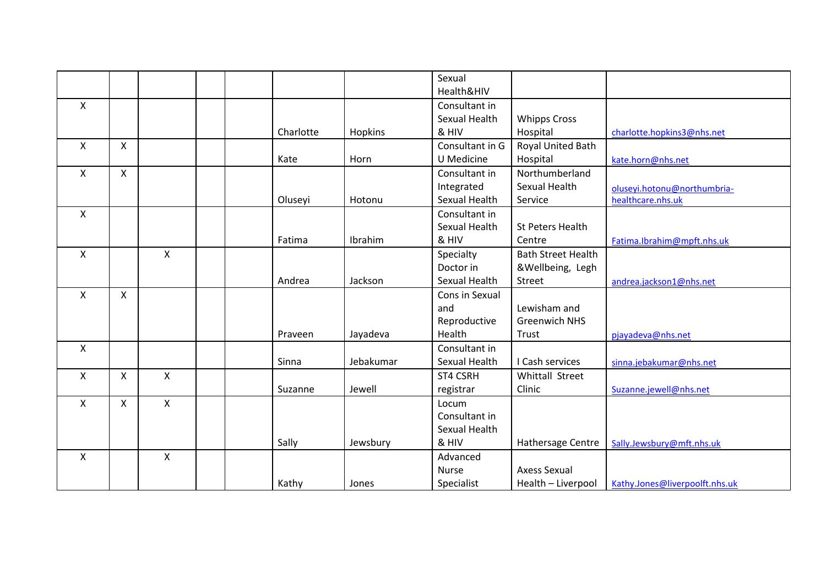|                           |              |              |           |           | Sexual<br>Health&HIV |                           |                                |
|---------------------------|--------------|--------------|-----------|-----------|----------------------|---------------------------|--------------------------------|
| X                         |              |              |           |           | Consultant in        |                           |                                |
|                           |              |              |           |           | Sexual Health        | <b>Whipps Cross</b>       |                                |
|                           |              |              | Charlotte | Hopkins   | & HIV                | Hospital                  | charlotte.hopkins3@nhs.net     |
| X                         | X            |              |           |           | Consultant in G      | Royal United Bath         |                                |
|                           |              |              | Kate      | Horn      | U Medicine           | Hospital                  | kate.horn@nhs.net              |
| X                         | $\mathsf{X}$ |              |           |           | Consultant in        | Northumberland            |                                |
|                           |              |              |           |           | Integrated           | Sexual Health             | oluseyi.hotonu@northumbria-    |
|                           |              |              | Oluseyi   | Hotonu    | Sexual Health        | Service                   | healthcare.nhs.uk              |
| X                         |              |              |           |           | Consultant in        |                           |                                |
|                           |              |              |           |           | Sexual Health        | <b>St Peters Health</b>   |                                |
|                           |              |              | Fatima    | Ibrahim   | & HIV                | Centre                    | Fatima.Ibrahim@mpft.nhs.uk     |
| $\boldsymbol{\mathsf{X}}$ |              | $\mathsf{X}$ |           |           | Specialty            | <b>Bath Street Health</b> |                                |
|                           |              |              |           |           | Doctor in            | &Wellbeing, Legh          |                                |
|                           |              |              | Andrea    | Jackson   | Sexual Health        | Street                    | andrea.jackson1@nhs.net        |
| $\mathsf{X}$              | $\mathsf{X}$ |              |           |           | Cons in Sexual       |                           |                                |
|                           |              |              |           |           | and                  | Lewisham and              |                                |
|                           |              |              |           |           | Reproductive         | <b>Greenwich NHS</b>      |                                |
|                           |              |              | Praveen   | Jayadeva  | Health               | Trust                     | pjayadeva@nhs.net              |
| X                         |              |              |           |           | Consultant in        |                           |                                |
|                           |              |              | Sinna     | Jebakumar | Sexual Health        | I Cash services           | sinna.jebakumar@nhs.net        |
| X                         | X            | X            |           |           | ST4 CSRH             | Whittall Street           |                                |
|                           |              |              | Suzanne   | Jewell    | registrar            | Clinic                    | Suzanne.jewell@nhs.net         |
| X                         | X            | X            |           |           | Locum                |                           |                                |
|                           |              |              |           |           | Consultant in        |                           |                                |
|                           |              |              |           |           | Sexual Health        |                           |                                |
|                           |              |              | Sally     | Jewsbury  | & HIV                | Hathersage Centre         | Sally.Jewsbury@mft.nhs.uk      |
| X                         |              | X            |           |           | Advanced             |                           |                                |
|                           |              |              |           |           | Nurse                | <b>Axess Sexual</b>       |                                |
|                           |              |              | Kathy     | Jones     | Specialist           | Health - Liverpool        | Kathy.Jones@liverpoolft.nhs.uk |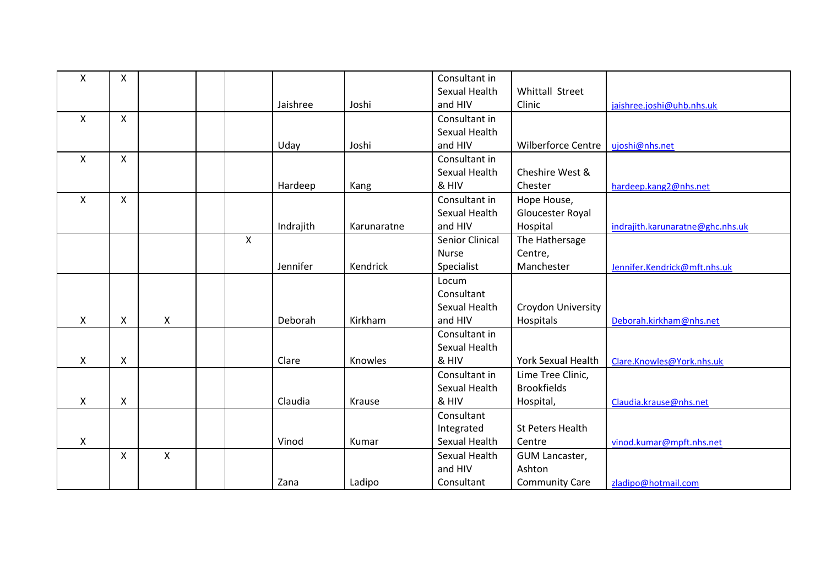| X | X            |   |   |           |             | Consultant in   |                           |                                  |
|---|--------------|---|---|-----------|-------------|-----------------|---------------------------|----------------------------------|
|   |              |   |   |           |             | Sexual Health   | Whittall Street           |                                  |
|   |              |   |   | Jaishree  | Joshi       | and HIV         | Clinic                    | jaishree.joshi@uhb.nhs.uk        |
| X | $\mathsf{X}$ |   |   |           |             | Consultant in   |                           |                                  |
|   |              |   |   |           |             | Sexual Health   |                           |                                  |
|   |              |   |   | Uday      | Joshi       | and HIV         | Wilberforce Centre        | ujoshi@nhs.net                   |
| X | $\mathsf{X}$ |   |   |           |             | Consultant in   |                           |                                  |
|   |              |   |   |           |             | Sexual Health   | Cheshire West &           |                                  |
|   |              |   |   | Hardeep   | Kang        | & HIV           | Chester                   | hardeep.kang2@nhs.net            |
| X | X            |   |   |           |             | Consultant in   | Hope House,               |                                  |
|   |              |   |   |           |             | Sexual Health   | Gloucester Royal          |                                  |
|   |              |   |   | Indrajith | Karunaratne | and HIV         | Hospital                  | indrajith.karunaratne@ghc.nhs.uk |
|   |              |   | X |           |             | Senior Clinical | The Hathersage            |                                  |
|   |              |   |   |           |             | <b>Nurse</b>    | Centre,                   |                                  |
|   |              |   |   | Jennifer  | Kendrick    | Specialist      | Manchester                | Jennifer.Kendrick@mft.nhs.uk     |
|   |              |   |   |           |             | Locum           |                           |                                  |
|   |              |   |   |           |             | Consultant      |                           |                                  |
|   |              |   |   |           |             | Sexual Health   | <b>Croydon University</b> |                                  |
| X | X            | X |   | Deborah   | Kirkham     | and HIV         | Hospitals                 | Deborah.kirkham@nhs.net          |
|   |              |   |   |           |             | Consultant in   |                           |                                  |
|   |              |   |   |           |             | Sexual Health   |                           |                                  |
| X | X            |   |   | Clare     | Knowles     | & HIV           | <b>York Sexual Health</b> | Clare.Knowles@York.nhs.uk        |
|   |              |   |   |           |             | Consultant in   | Lime Tree Clinic,         |                                  |
|   |              |   |   |           |             | Sexual Health   | <b>Brookfields</b>        |                                  |
| X | X            |   |   | Claudia   | Krause      | & HIV           | Hospital,                 | Claudia.krause@nhs.net           |
|   |              |   |   |           |             | Consultant      |                           |                                  |
|   |              |   |   |           |             | Integrated      | St Peters Health          |                                  |
| X |              |   |   | Vinod     | Kumar       | Sexual Health   | Centre                    | vinod.kumar@mpft.nhs.net         |
|   | X            | Χ |   |           |             | Sexual Health   | GUM Lancaster,            |                                  |
|   |              |   |   |           |             | and HIV         | Ashton                    |                                  |
|   |              |   |   | Zana      | Ladipo      | Consultant      | <b>Community Care</b>     | zladipo@hotmail.com              |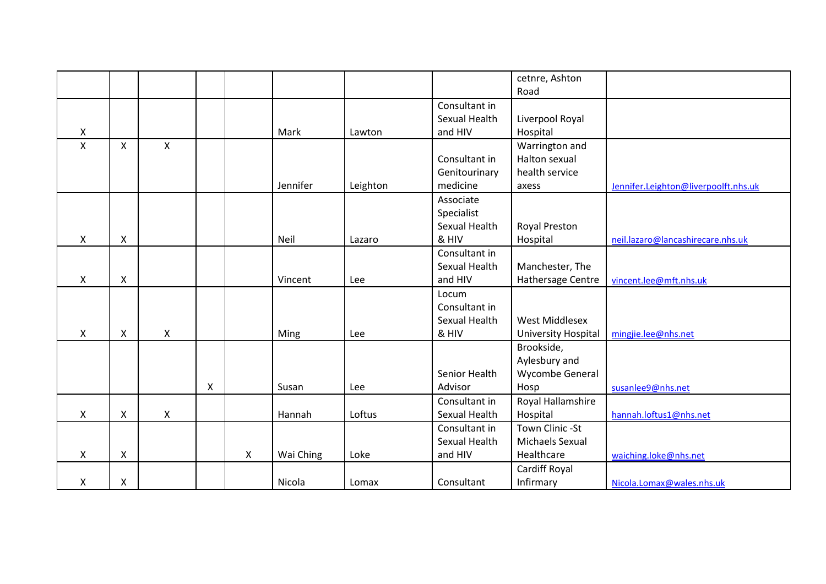|   |              |   |   |   |           |          |               | cetnre, Ashton        |                                      |
|---|--------------|---|---|---|-----------|----------|---------------|-----------------------|--------------------------------------|
|   |              |   |   |   |           |          |               | Road                  |                                      |
|   |              |   |   |   |           |          | Consultant in |                       |                                      |
|   |              |   |   |   |           |          | Sexual Health | Liverpool Royal       |                                      |
| X |              |   |   |   | Mark      | Lawton   | and HIV       | Hospital              |                                      |
| X | X            | X |   |   |           |          |               | Warrington and        |                                      |
|   |              |   |   |   |           |          | Consultant in | Halton sexual         |                                      |
|   |              |   |   |   |           |          | Genitourinary | health service        |                                      |
|   |              |   |   |   | Jennifer  | Leighton | medicine      | axess                 | Jennifer.Leighton@liverpoolft.nhs.uk |
|   |              |   |   |   |           |          | Associate     |                       |                                      |
|   |              |   |   |   |           |          | Specialist    |                       |                                      |
|   |              |   |   |   |           |          | Sexual Health | <b>Royal Preston</b>  |                                      |
| X | X            |   |   |   | Neil      | Lazaro   | & HIV         | Hospital              | neil.lazaro@lancashirecare.nhs.uk    |
|   |              |   |   |   |           |          | Consultant in |                       |                                      |
|   |              |   |   |   |           |          | Sexual Health | Manchester, The       |                                      |
| X | X            |   |   |   | Vincent   | Lee      | and HIV       | Hathersage Centre     | vincent.lee@mft.nhs.uk               |
|   |              |   |   |   |           |          | Locum         |                       |                                      |
|   |              |   |   |   |           |          | Consultant in |                       |                                      |
|   |              |   |   |   |           |          | Sexual Health | <b>West Middlesex</b> |                                      |
| X | X            | X |   |   | Ming      | Lee      | & HIV         | University Hospital   | mingjie.lee@nhs.net                  |
|   |              |   |   |   |           |          |               | Brookside,            |                                      |
|   |              |   |   |   |           |          |               | Aylesbury and         |                                      |
|   |              |   |   |   |           |          | Senior Health | Wycombe General       |                                      |
|   |              |   | X |   | Susan     | Lee      | Advisor       | Hosp                  | susanlee9@nhs.net                    |
|   |              |   |   |   |           |          | Consultant in | Royal Hallamshire     |                                      |
| X | $\mathsf{X}$ | X |   |   | Hannah    | Loftus   | Sexual Health | Hospital              | hannah.loftus1@nhs.net               |
|   |              |   |   |   |           |          | Consultant in | Town Clinic -St       |                                      |
|   |              |   |   |   |           |          | Sexual Health | Michaels Sexual       |                                      |
| X | X            |   |   | X | Wai Ching | Loke     | and HIV       | Healthcare            | waiching.loke@nhs.net                |
|   |              |   |   |   |           |          |               | Cardiff Royal         |                                      |
| X | X            |   |   |   | Nicola    | Lomax    | Consultant    | Infirmary             | Nicola.Lomax@wales.nhs.uk            |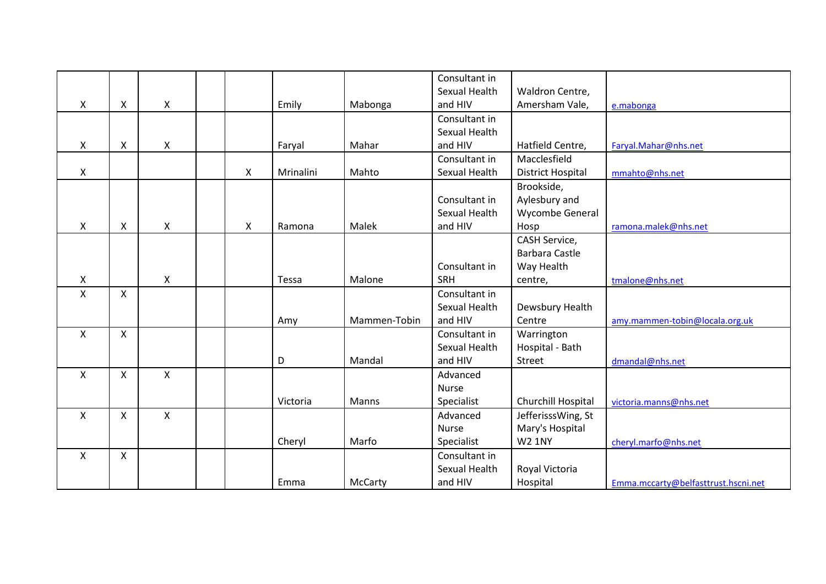|              |                |                    |   |           |              | Consultant in |                          |                                     |
|--------------|----------------|--------------------|---|-----------|--------------|---------------|--------------------------|-------------------------------------|
|              |                |                    |   |           |              | Sexual Health | Waldron Centre,          |                                     |
| X            | X              | X                  |   | Emily     | Mabonga      | and HIV       | Amersham Vale,           | e.mabonga                           |
|              |                |                    |   |           |              | Consultant in |                          |                                     |
|              |                |                    |   |           |              | Sexual Health |                          |                                     |
| X            | X              | Χ                  |   | Faryal    | Mahar        | and HIV       | Hatfield Centre,         | Faryal.Mahar@nhs.net                |
|              |                |                    |   |           |              | Consultant in | Macclesfield             |                                     |
| X            |                |                    | X | Mrinalini | Mahto        | Sexual Health | <b>District Hospital</b> | mmahto@nhs.net                      |
|              |                |                    |   |           |              |               | Brookside,               |                                     |
|              |                |                    |   |           |              | Consultant in | Aylesbury and            |                                     |
|              |                |                    |   |           |              | Sexual Health | Wycombe General          |                                     |
| X            | $\pmb{\times}$ | X                  | X | Ramona    | Malek        | and HIV       | Hosp                     | ramona.malek@nhs.net                |
|              |                |                    |   |           |              |               | CASH Service,            |                                     |
|              |                |                    |   |           |              |               | <b>Barbara Castle</b>    |                                     |
|              |                |                    |   |           |              | Consultant in | Way Health               |                                     |
| X            |                | $\pmb{\mathsf{X}}$ |   | Tessa     | Malone       | <b>SRH</b>    | centre,                  | tmalone@nhs.net                     |
| X            | $\mathsf{X}$   |                    |   |           |              | Consultant in |                          |                                     |
|              |                |                    |   |           |              | Sexual Health | Dewsbury Health          |                                     |
|              |                |                    |   | Amy       | Mammen-Tobin | and HIV       | Centre                   | amy.mammen-tobin@locala.org.uk      |
| $\mathsf{X}$ | $\mathsf{X}$   |                    |   |           |              | Consultant in | Warrington               |                                     |
|              |                |                    |   |           |              | Sexual Health | Hospital - Bath          |                                     |
|              |                |                    |   | D         | Mandal       | and HIV       | Street                   | dmandal@nhs.net                     |
| X            | X              | $\pmb{\mathsf{X}}$ |   |           |              | Advanced      |                          |                                     |
|              |                |                    |   |           |              | <b>Nurse</b>  |                          |                                     |
|              |                |                    |   | Victoria  | Manns        | Specialist    | Churchill Hospital       | victoria.manns@nhs.net              |
| X            | X              | $\mathsf{x}$       |   |           |              | Advanced      | JefferisssWing, St       |                                     |
|              |                |                    |   |           |              | Nurse         | Mary's Hospital          |                                     |
|              |                |                    |   | Cheryl    | Marfo        | Specialist    | <b>W2 1NY</b>            | cheryl.marfo@nhs.net                |
| X            | X              |                    |   |           |              | Consultant in |                          |                                     |
|              |                |                    |   |           |              | Sexual Health | Royal Victoria           |                                     |
|              |                |                    |   | Emma      | McCarty      | and HIV       | Hospital                 | Emma.mccarty@belfasttrust.hscni.net |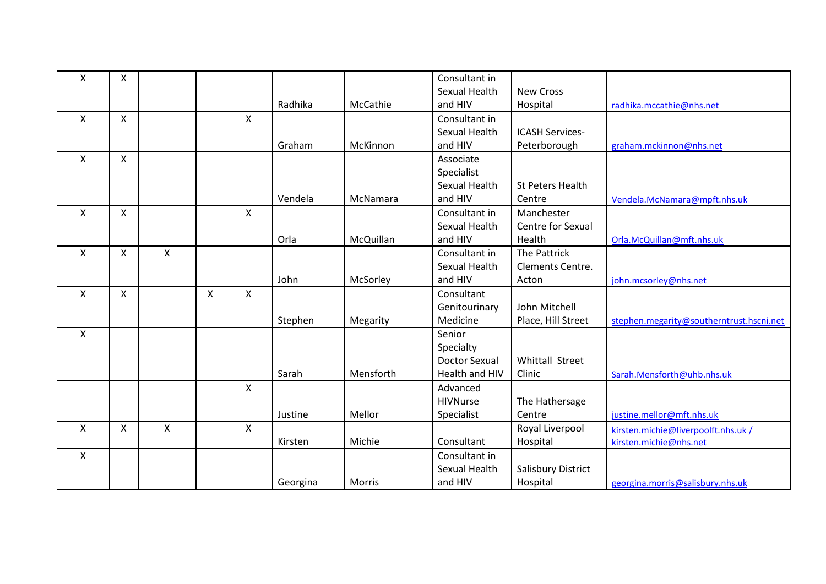| X | X            |                    |   |                    |          |           | Consultant in<br>Sexual Health | <b>New Cross</b>        |                                          |
|---|--------------|--------------------|---|--------------------|----------|-----------|--------------------------------|-------------------------|------------------------------------------|
|   |              |                    |   |                    | Radhika  | McCathie  | and HIV                        |                         |                                          |
|   |              |                    |   |                    |          |           |                                | Hospital                | radhika.mccathie@nhs.net                 |
| X | $\mathsf{x}$ |                    |   | $\mathsf{x}$       |          |           | Consultant in                  |                         |                                          |
|   |              |                    |   |                    |          |           | Sexual Health                  | <b>ICASH Services-</b>  |                                          |
|   |              |                    |   |                    | Graham   | McKinnon  | and HIV                        | Peterborough            | graham.mckinnon@nhs.net                  |
| X | $\mathsf{X}$ |                    |   |                    |          |           | Associate                      |                         |                                          |
|   |              |                    |   |                    |          |           | Specialist                     |                         |                                          |
|   |              |                    |   |                    |          |           | Sexual Health                  | <b>St Peters Health</b> |                                          |
|   |              |                    |   |                    | Vendela  | McNamara  | and HIV                        | Centre                  | Vendela.McNamara@mpft.nhs.uk             |
| X | X            |                    |   | X                  |          |           | Consultant in                  | Manchester              |                                          |
|   |              |                    |   |                    |          |           | Sexual Health                  | Centre for Sexual       |                                          |
|   |              |                    |   |                    | Orla     | McQuillan | and HIV                        | Health                  | Orla.McQuillan@mft.nhs.uk                |
| X | X            | $\mathsf{x}$       |   |                    |          |           | Consultant in                  | The Pattrick            |                                          |
|   |              |                    |   |                    |          |           | Sexual Health                  | Clements Centre.        |                                          |
|   |              |                    |   |                    | John     | McSorley  | and HIV                        | Acton                   | john.mcsorley@nhs.net                    |
| X | $\mathsf{X}$ |                    | X | X                  |          |           | Consultant                     |                         |                                          |
|   |              |                    |   |                    |          |           | Genitourinary                  | John Mitchell           |                                          |
|   |              |                    |   |                    | Stephen  | Megarity  | Medicine                       | Place, Hill Street      | stephen.megarity@southerntrust.hscni.net |
| X |              |                    |   |                    |          |           | Senior                         |                         |                                          |
|   |              |                    |   |                    |          |           | Specialty                      |                         |                                          |
|   |              |                    |   |                    |          |           | <b>Doctor Sexual</b>           | Whittall Street         |                                          |
|   |              |                    |   |                    | Sarah    | Mensforth | Health and HIV                 | Clinic                  | Sarah.Mensforth@uhb.nhs.uk               |
|   |              |                    |   | $\pmb{\mathsf{X}}$ |          |           | Advanced                       |                         |                                          |
|   |              |                    |   |                    |          |           | <b>HIVNurse</b>                | The Hathersage          |                                          |
|   |              |                    |   |                    | Justine  | Mellor    | Specialist                     | Centre                  | justine.mellor@mft.nhs.uk                |
| X | X            | $\pmb{\mathsf{X}}$ |   | $\pmb{\times}$     |          |           |                                | Royal Liverpool         | kirsten.michie@liverpoolft.nhs.uk /      |
|   |              |                    |   |                    | Kirsten  | Michie    | Consultant                     | Hospital                | kirsten.michie@nhs.net                   |
| X |              |                    |   |                    |          |           | Consultant in                  |                         |                                          |
|   |              |                    |   |                    |          |           | Sexual Health                  | Salisbury District      |                                          |
|   |              |                    |   |                    | Georgina | Morris    | and HIV                        | Hospital                | georgina.morris@salisbury.nhs.uk         |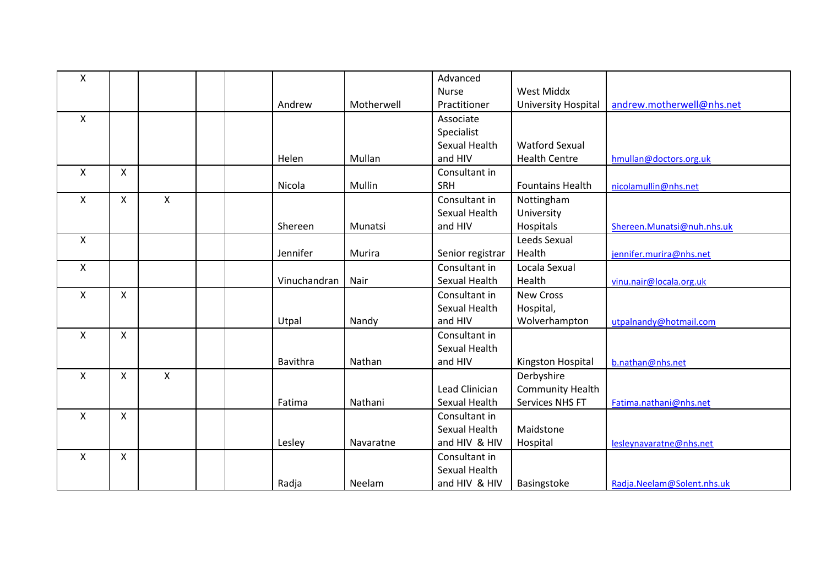| X            |                    |              |              |            | Advanced         |                         |                            |
|--------------|--------------------|--------------|--------------|------------|------------------|-------------------------|----------------------------|
|              |                    |              |              |            | <b>Nurse</b>     | <b>West Middx</b>       |                            |
|              |                    |              | Andrew       | Motherwell | Practitioner     | University Hospital     | andrew.motherwell@nhs.net  |
| X            |                    |              |              |            | Associate        |                         |                            |
|              |                    |              |              |            | Specialist       |                         |                            |
|              |                    |              |              |            | Sexual Health    | <b>Watford Sexual</b>   |                            |
|              |                    |              | Helen        | Mullan     | and HIV          | <b>Health Centre</b>    | hmullan@doctors.org.uk     |
| X            | $\pmb{\mathsf{X}}$ |              |              |            | Consultant in    |                         |                            |
|              |                    |              | Nicola       | Mullin     | SRH              | <b>Fountains Health</b> | nicolamullin@nhs.net       |
| X            | $\mathsf{X}$       | $\mathsf{x}$ |              |            | Consultant in    | Nottingham              |                            |
|              |                    |              |              |            | Sexual Health    | University              |                            |
|              |                    |              | Shereen      | Munatsi    | and HIV          | Hospitals               | Shereen.Munatsi@nuh.nhs.uk |
| X            |                    |              |              |            |                  | Leeds Sexual            |                            |
|              |                    |              | Jennifer     | Murira     | Senior registrar | Health                  | jennifer.murira@nhs.net    |
| $\mathsf{X}$ |                    |              |              |            | Consultant in    | Locala Sexual           |                            |
|              |                    |              | Vinuchandran | Nair       | Sexual Health    | Health                  | vinu.nair@locala.org.uk    |
| X            | X                  |              |              |            | Consultant in    | <b>New Cross</b>        |                            |
|              |                    |              |              |            | Sexual Health    | Hospital,               |                            |
|              |                    |              | Utpal        | Nandy      | and HIV          | Wolverhampton           | utpalnandy@hotmail.com     |
| X            | $\mathsf{x}$       |              |              |            | Consultant in    |                         |                            |
|              |                    |              |              |            | Sexual Health    |                         |                            |
|              |                    |              | Bavithra     | Nathan     | and HIV          | Kingston Hospital       | b.nathan@nhs.net           |
| X            | X                  | X            |              |            |                  | Derbyshire              |                            |
|              |                    |              |              |            | Lead Clinician   | <b>Community Health</b> |                            |
|              |                    |              | Fatima       | Nathani    | Sexual Health    | Services NHS FT         | Fatima.nathani@nhs.net     |
| X            | X                  |              |              |            | Consultant in    |                         |                            |
|              |                    |              |              |            | Sexual Health    | Maidstone               |                            |
|              |                    |              | Lesley       | Navaratne  | and HIV & HIV    | Hospital                | lesleynavaratne@nhs.net    |
| $\mathsf{x}$ | $\mathsf{x}$       |              |              |            | Consultant in    |                         |                            |
|              |                    |              |              |            | Sexual Health    |                         |                            |
|              |                    |              | Radja        | Neelam     | and HIV & HIV    | Basingstoke             | Radja.Neelam@Solent.nhs.uk |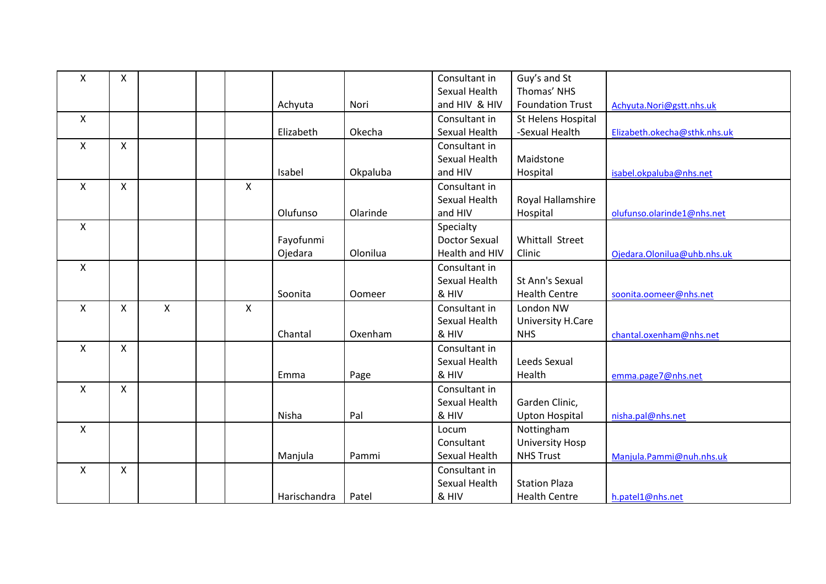| X                         | $\mathsf{X}$ |              |                           |              |          | Consultant in        | Guy's and St            |                              |
|---------------------------|--------------|--------------|---------------------------|--------------|----------|----------------------|-------------------------|------------------------------|
|                           |              |              |                           |              |          | Sexual Health        | Thomas' NHS             |                              |
|                           |              |              |                           | Achyuta      | Nori     | and HIV & HIV        | <b>Foundation Trust</b> | Achyuta.Nori@gstt.nhs.uk     |
| X                         |              |              |                           |              |          | Consultant in        | St Helens Hospital      |                              |
|                           |              |              |                           | Elizabeth    | Okecha   | Sexual Health        | -Sexual Health          | Elizabeth.okecha@sthk.nhs.uk |
| $\boldsymbol{\mathsf{X}}$ | $\mathsf{X}$ |              |                           |              |          | Consultant in        |                         |                              |
|                           |              |              |                           |              |          | Sexual Health        | Maidstone               |                              |
|                           |              |              |                           | Isabel       | Okpaluba | and HIV              | Hospital                | isabel.okpaluba@nhs.net      |
| $\boldsymbol{\mathsf{X}}$ | $\mathsf{X}$ |              | X                         |              |          | Consultant in        |                         |                              |
|                           |              |              |                           |              |          | Sexual Health        | Royal Hallamshire       |                              |
|                           |              |              |                           | Olufunso     | Olarinde | and HIV              | Hospital                | olufunso.olarinde1@nhs.net   |
| X                         |              |              |                           |              |          | Specialty            |                         |                              |
|                           |              |              |                           | Fayofunmi    |          | <b>Doctor Sexual</b> | Whittall Street         |                              |
|                           |              |              |                           | Ojedara      | Olonilua | Health and HIV       | Clinic                  | Ojedara.Olonilua@uhb.nhs.uk  |
| X                         |              |              |                           |              |          | Consultant in        |                         |                              |
|                           |              |              |                           |              |          | Sexual Health        | St Ann's Sexual         |                              |
|                           |              |              |                           | Soonita      | Oomeer   | & HIV                | <b>Health Centre</b>    | soonita.oomeer@nhs.net       |
| $\boldsymbol{\mathsf{X}}$ | $\mathsf{X}$ | $\mathsf{x}$ | $\boldsymbol{\mathsf{X}}$ |              |          | Consultant in        | London NW               |                              |
|                           |              |              |                           |              |          | Sexual Health        | University H.Care       |                              |
|                           |              |              |                           | Chantal      | Oxenham  | & HIV                | <b>NHS</b>              | chantal.oxenham@nhs.net      |
| X                         | $\mathsf{X}$ |              |                           |              |          | Consultant in        |                         |                              |
|                           |              |              |                           |              |          | Sexual Health        | Leeds Sexual            |                              |
|                           |              |              |                           | Emma         | Page     | & HIV                | Health                  | emma.page7@nhs.net           |
| $\boldsymbol{\mathsf{X}}$ | $\mathsf{X}$ |              |                           |              |          | Consultant in        |                         |                              |
|                           |              |              |                           |              |          | Sexual Health        | Garden Clinic,          |                              |
|                           |              |              |                           | Nisha        | Pal      | & HIV                | <b>Upton Hospital</b>   | nisha.pal@nhs.net            |
| $\pmb{\mathsf{X}}$        |              |              |                           |              |          | Locum                | Nottingham              |                              |
|                           |              |              |                           |              |          | Consultant           | <b>University Hosp</b>  |                              |
|                           |              |              |                           | Manjula      | Pammi    | Sexual Health        | <b>NHS Trust</b>        | Manjula.Pammi@nuh.nhs.uk     |
| $\boldsymbol{\mathsf{X}}$ | $\mathsf{X}$ |              |                           |              |          | Consultant in        |                         |                              |
|                           |              |              |                           |              |          | Sexual Health        | <b>Station Plaza</b>    |                              |
|                           |              |              |                           | Harischandra | Patel    | & HIV                | <b>Health Centre</b>    | h.patel1@nhs.net             |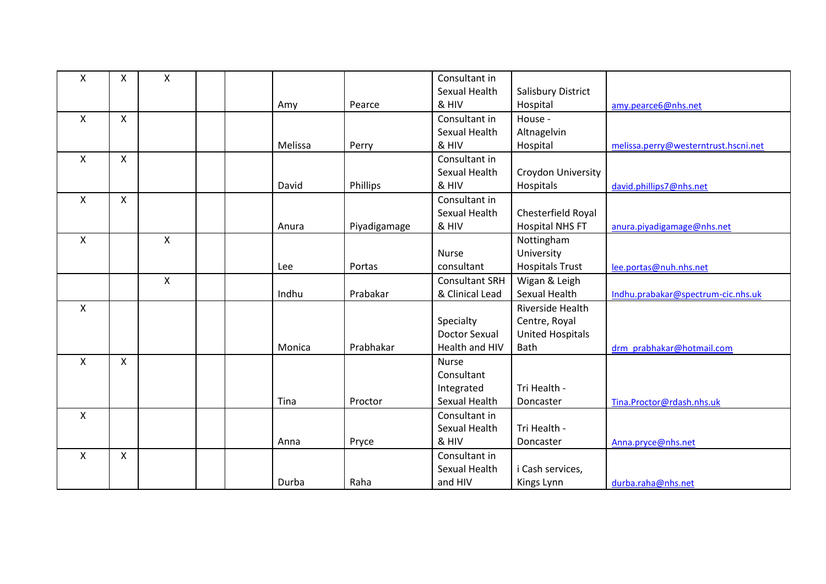| Χ            | X              | Χ            |         |              | Consultant in         |                         |                                      |
|--------------|----------------|--------------|---------|--------------|-----------------------|-------------------------|--------------------------------------|
|              |                |              |         |              | Sexual Health         | Salisbury District      |                                      |
|              |                |              | Amy     | Pearce       | & HIV                 | Hospital                | amy.pearce6@nhs.net                  |
| $\mathsf{X}$ | $\mathsf{X}$   |              |         |              | Consultant in         | House -                 |                                      |
|              |                |              |         |              | Sexual Health         | Altnagelvin             |                                      |
|              |                |              | Melissa | Perry        | & HIV                 | Hospital                | melissa.perry@westerntrust.hscni.net |
| X            | X              |              |         |              | Consultant in         |                         |                                      |
|              |                |              |         |              | Sexual Health         | Croydon University      |                                      |
|              |                |              | David   | Phillips     | & HIV                 | Hospitals               | david.phillips7@nhs.net              |
| X            | $\pmb{\times}$ |              |         |              | Consultant in         |                         |                                      |
|              |                |              |         |              | Sexual Health         | Chesterfield Royal      |                                      |
|              |                |              | Anura   | Piyadigamage | & HIV                 | <b>Hospital NHS FT</b>  | anura.piyadigamage@nhs.net           |
| X            |                | X            |         |              |                       | Nottingham              |                                      |
|              |                |              |         |              | <b>Nurse</b>          | University              |                                      |
|              |                |              | Lee     | Portas       | consultant            | <b>Hospitals Trust</b>  | lee.portas@nuh.nhs.net               |
|              |                | $\mathsf{x}$ |         |              | <b>Consultant SRH</b> | Wigan & Leigh           |                                      |
|              |                |              | Indhu   | Prabakar     | & Clinical Lead       | Sexual Health           | Indhu.prabakar@spectrum-cic.nhs.uk   |
| X            |                |              |         |              |                       | Riverside Health        |                                      |
|              |                |              |         |              | Specialty             | Centre, Royal           |                                      |
|              |                |              |         |              | <b>Doctor Sexual</b>  | <b>United Hospitals</b> |                                      |
|              |                |              | Monica  | Prabhakar    | Health and HIV        | Bath                    | drm prabhakar@hotmail.com            |
| $\mathsf{X}$ | X              |              |         |              | Nurse                 |                         |                                      |
|              |                |              |         |              | Consultant            |                         |                                      |
|              |                |              |         |              | Integrated            | Tri Health -            |                                      |
|              |                |              | Tina    | Proctor      | Sexual Health         | Doncaster               | Tina.Proctor@rdash.nhs.uk            |
| $\mathsf{X}$ |                |              |         |              | Consultant in         |                         |                                      |
|              |                |              |         |              | Sexual Health         | Tri Health -            |                                      |
|              |                |              | Anna    | Pryce        | & HIV                 | Doncaster               | Anna.pryce@nhs.net                   |
| X            | $\mathsf{X}$   |              |         |              | Consultant in         |                         |                                      |
|              |                |              |         |              | Sexual Health         | i Cash services,        |                                      |
|              |                |              | Durba   | Raha         | and HIV               | Kings Lynn              | durba.raha@nhs.net                   |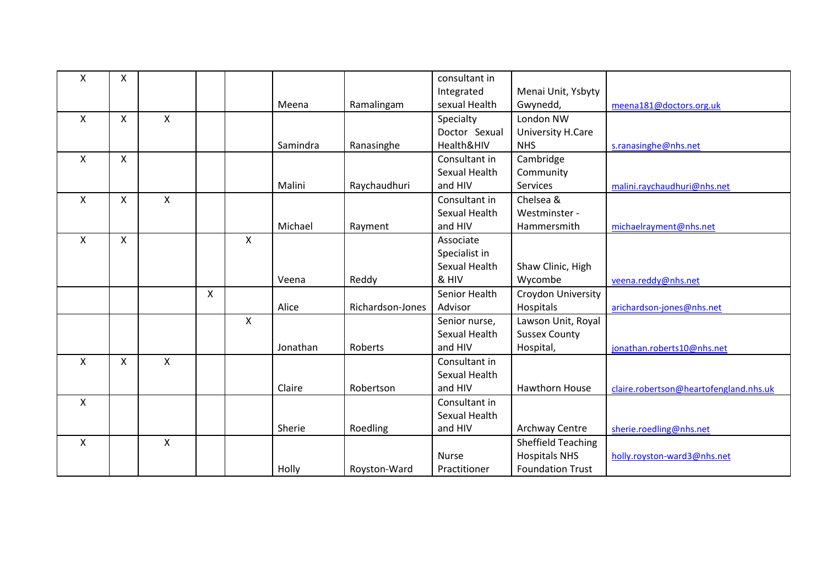| X | X |   |   |                    |          |                  | consultant in |                           |                                        |
|---|---|---|---|--------------------|----------|------------------|---------------|---------------------------|----------------------------------------|
|   |   |   |   |                    |          |                  | Integrated    | Menai Unit, Ysbyty        |                                        |
|   |   |   |   |                    | Meena    | Ramalingam       | sexual Health | Gwynedd,                  | meena181@doctors.org.uk                |
| X | X | X |   |                    |          |                  | Specialty     | London NW                 |                                        |
|   |   |   |   |                    |          |                  | Doctor Sexual | University H.Care         |                                        |
|   |   |   |   |                    | Samindra | Ranasinghe       | Health&HIV    | <b>NHS</b>                | s.ranasinghe@nhs.net                   |
| X | X |   |   |                    |          |                  | Consultant in | Cambridge                 |                                        |
|   |   |   |   |                    |          |                  | Sexual Health | Community                 |                                        |
|   |   |   |   |                    | Malini   | Raychaudhuri     | and HIV       | Services                  | malini.raychaudhuri@nhs.net            |
| X | X | X |   |                    |          |                  | Consultant in | Chelsea &                 |                                        |
|   |   |   |   |                    |          |                  | Sexual Health | Westminster -             |                                        |
|   |   |   |   |                    | Michael  | Rayment          | and HIV       | Hammersmith               | michaelrayment@nhs.net                 |
| X | X |   |   | X                  |          |                  | Associate     |                           |                                        |
|   |   |   |   |                    |          |                  | Specialist in |                           |                                        |
|   |   |   |   |                    |          |                  | Sexual Health | Shaw Clinic, High         |                                        |
|   |   |   |   |                    | Veena    | Reddy            | & HIV         | Wycombe                   | veena.reddy@nhs.net                    |
|   |   |   | X |                    |          |                  | Senior Health | Croydon University        |                                        |
|   |   |   |   |                    | Alice    | Richardson-Jones | Advisor       | Hospitals                 | arichardson-jones@nhs.net              |
|   |   |   |   | $\pmb{\mathsf{X}}$ |          |                  | Senior nurse, | Lawson Unit, Royal        |                                        |
|   |   |   |   |                    |          |                  | Sexual Health | <b>Sussex County</b>      |                                        |
|   |   |   |   |                    | Jonathan | Roberts          | and HIV       | Hospital,                 | jonathan.roberts10@nhs.net             |
| X | X | X |   |                    |          |                  | Consultant in |                           |                                        |
|   |   |   |   |                    |          |                  | Sexual Health |                           |                                        |
|   |   |   |   |                    | Claire   | Robertson        | and HIV       | <b>Hawthorn House</b>     | claire.robertson@heartofengland.nhs.uk |
| Χ |   |   |   |                    |          |                  | Consultant in |                           |                                        |
|   |   |   |   |                    |          |                  | Sexual Health |                           |                                        |
|   |   |   |   |                    | Sherie   | Roedling         | and HIV       | <b>Archway Centre</b>     | sherie.roedling@nhs.net                |
| X |   | X |   |                    |          |                  |               | <b>Sheffield Teaching</b> |                                        |
|   |   |   |   |                    |          |                  | <b>Nurse</b>  | <b>Hospitals NHS</b>      | holly.royston-ward3@nhs.net            |
|   |   |   |   |                    | Holly    | Royston-Ward     | Practitioner  | <b>Foundation Trust</b>   |                                        |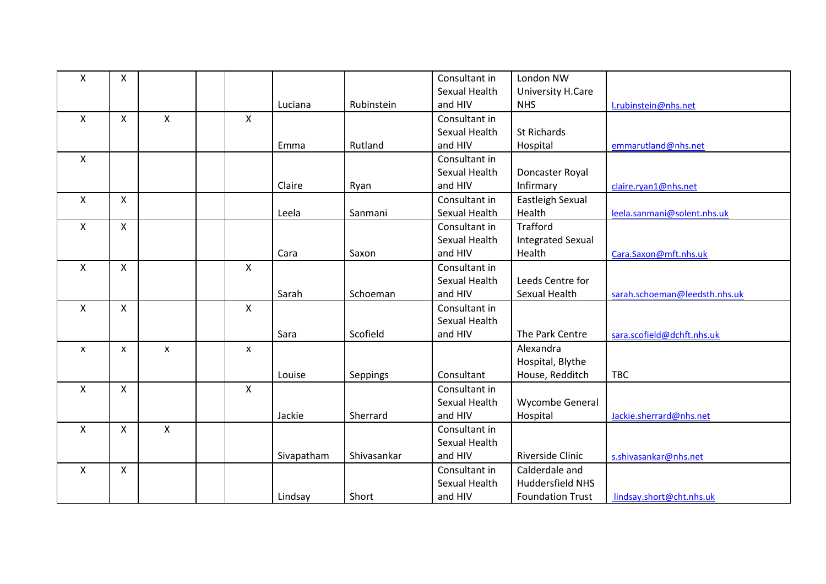| Χ | X              |                |                           |            |             | Consultant in        | London NW                |                               |
|---|----------------|----------------|---------------------------|------------|-------------|----------------------|--------------------------|-------------------------------|
|   |                |                |                           |            |             | Sexual Health        | University H.Care        |                               |
|   |                |                |                           | Luciana    | Rubinstein  | and HIV              | <b>NHS</b>               | I.rubinstein@nhs.net          |
| X | X              | X              | X                         |            |             | Consultant in        |                          |                               |
|   |                |                |                           |            |             | Sexual Health        | <b>St Richards</b>       |                               |
|   |                |                |                           | Emma       | Rutland     | and HIV              | Hospital                 | emmarutland@nhs.net           |
| X |                |                |                           |            |             | Consultant in        |                          |                               |
|   |                |                |                           |            |             | Sexual Health        | Doncaster Royal          |                               |
|   |                |                |                           | Claire     | Ryan        | and HIV              | Infirmary                | claire.ryan1@nhs.net          |
| X | X              |                |                           |            |             | Consultant in        | Eastleigh Sexual         |                               |
|   |                |                |                           | Leela      | Sanmani     | <b>Sexual Health</b> | Health                   | leela.sanmani@solent.nhs.uk   |
| X | $\mathsf{X}$   |                |                           |            |             | Consultant in        | <b>Trafford</b>          |                               |
|   |                |                |                           |            |             | Sexual Health        | <b>Integrated Sexual</b> |                               |
|   |                |                |                           | Cara       | Saxon       | and HIV              | Health                   | Cara.Saxon@mft.nhs.uk         |
| X | X              |                | $\pmb{\times}$            |            |             | Consultant in        |                          |                               |
|   |                |                |                           |            |             | Sexual Health        | Leeds Centre for         |                               |
|   |                |                |                           | Sarah      | Schoeman    | and HIV              | Sexual Health            | sarah.schoeman@leedsth.nhs.uk |
| X | $\pmb{\times}$ |                | $\boldsymbol{\mathsf{X}}$ |            |             | Consultant in        |                          |                               |
|   |                |                |                           |            |             | Sexual Health        |                          |                               |
|   |                |                |                           | Sara       | Scofield    | and HIV              | The Park Centre          | sara.scofield@dchft.nhs.uk    |
| X | X              | $\pmb{\times}$ | $\boldsymbol{\mathsf{x}}$ |            |             |                      | Alexandra                |                               |
|   |                |                |                           |            |             |                      | Hospital, Blythe         |                               |
|   |                |                |                           | Louise     | Seppings    | Consultant           | House, Redditch          | <b>TBC</b>                    |
| X | $\mathsf{X}$   |                | $\boldsymbol{\mathsf{X}}$ |            |             | Consultant in        |                          |                               |
|   |                |                |                           |            |             | Sexual Health        | Wycombe General          |                               |
|   |                |                |                           | Jackie     | Sherrard    | and HIV              | Hospital                 | Jackie.sherrard@nhs.net       |
| X | X              | X              |                           |            |             | Consultant in        |                          |                               |
|   |                |                |                           |            |             | Sexual Health        |                          |                               |
|   |                |                |                           | Sivapatham | Shivasankar | and HIV              | <b>Riverside Clinic</b>  | s.shivasankar@nhs.net         |
| X | X              |                |                           |            |             | Consultant in        | Calderdale and           |                               |
|   |                |                |                           |            |             | Sexual Health        | <b>Huddersfield NHS</b>  |                               |
|   |                |                |                           | Lindsay    | Short       | and HIV              | <b>Foundation Trust</b>  | lindsay.short@cht.nhs.uk      |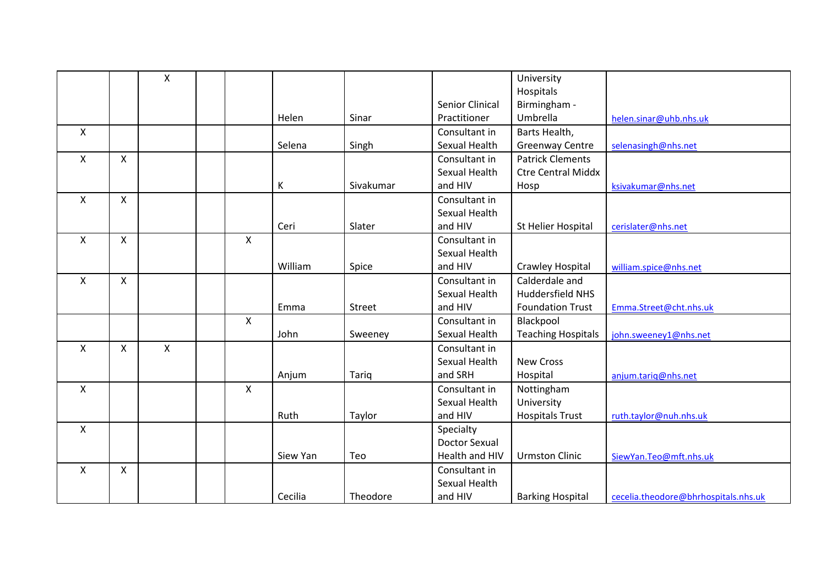|              |              | X |                    |          |           |                      | University                |                                      |
|--------------|--------------|---|--------------------|----------|-----------|----------------------|---------------------------|--------------------------------------|
|              |              |   |                    |          |           |                      | Hospitals                 |                                      |
|              |              |   |                    |          |           | Senior Clinical      | Birmingham -              |                                      |
|              |              |   |                    | Helen    | Sinar     | Practitioner         | Umbrella                  | helen.sinar@uhb.nhs.uk               |
| X            |              |   |                    |          |           | Consultant in        | Barts Health,             |                                      |
|              |              |   |                    | Selena   | Singh     | Sexual Health        | <b>Greenway Centre</b>    | selenasingh@nhs.net                  |
| X            | $\mathsf{X}$ |   |                    |          |           | Consultant in        | <b>Patrick Clements</b>   |                                      |
|              |              |   |                    |          |           | Sexual Health        | <b>Ctre Central Middx</b> |                                      |
|              |              |   |                    | К        | Sivakumar | and HIV              | Hosp                      | ksivakumar@nhs.net                   |
| X            | X            |   |                    |          |           | Consultant in        |                           |                                      |
|              |              |   |                    |          |           | Sexual Health        |                           |                                      |
|              |              |   |                    | Ceri     | Slater    | and HIV              | St Helier Hospital        | cerislater@nhs.net                   |
| X            | X            |   | X                  |          |           | Consultant in        |                           |                                      |
|              |              |   |                    |          |           | Sexual Health        |                           |                                      |
|              |              |   |                    | William  | Spice     | and HIV              | Crawley Hospital          | william.spice@nhs.net                |
| X            | X            |   |                    |          |           | Consultant in        | Calderdale and            |                                      |
|              |              |   |                    |          |           | Sexual Health        | <b>Huddersfield NHS</b>   |                                      |
|              |              |   |                    | Emma     | Street    | and HIV              | <b>Foundation Trust</b>   | Emma.Street@cht.nhs.uk               |
|              |              |   | $\mathsf{X}$       |          |           | Consultant in        | Blackpool                 |                                      |
|              |              |   |                    | John     | Sweeney   | Sexual Health        | <b>Teaching Hospitals</b> | john.sweeney1@nhs.net                |
| $\mathsf{X}$ | $\mathsf{X}$ | Χ |                    |          |           | Consultant in        |                           |                                      |
|              |              |   |                    |          |           | Sexual Health        | <b>New Cross</b>          |                                      |
|              |              |   |                    | Anjum    | Tariq     | and SRH              | Hospital                  | anjum.tariq@nhs.net                  |
| $\mathsf{X}$ |              |   | $\pmb{\mathsf{X}}$ |          |           | Consultant in        | Nottingham                |                                      |
|              |              |   |                    |          |           | Sexual Health        | University                |                                      |
|              |              |   |                    | Ruth     | Taylor    | and HIV              | <b>Hospitals Trust</b>    | ruth.taylor@nuh.nhs.uk               |
| X            |              |   |                    |          |           | Specialty            |                           |                                      |
|              |              |   |                    |          |           | <b>Doctor Sexual</b> |                           |                                      |
|              |              |   |                    | Siew Yan | Teo       | Health and HIV       | <b>Urmston Clinic</b>     | SiewYan.Teo@mft.nhs.uk               |
| X            | $\mathsf{X}$ |   |                    |          |           | Consultant in        |                           |                                      |
|              |              |   |                    |          |           | Sexual Health        |                           |                                      |
|              |              |   |                    | Cecilia  | Theodore  | and HIV              | <b>Barking Hospital</b>   | cecelia.theodore@bhrhospitals.nhs.uk |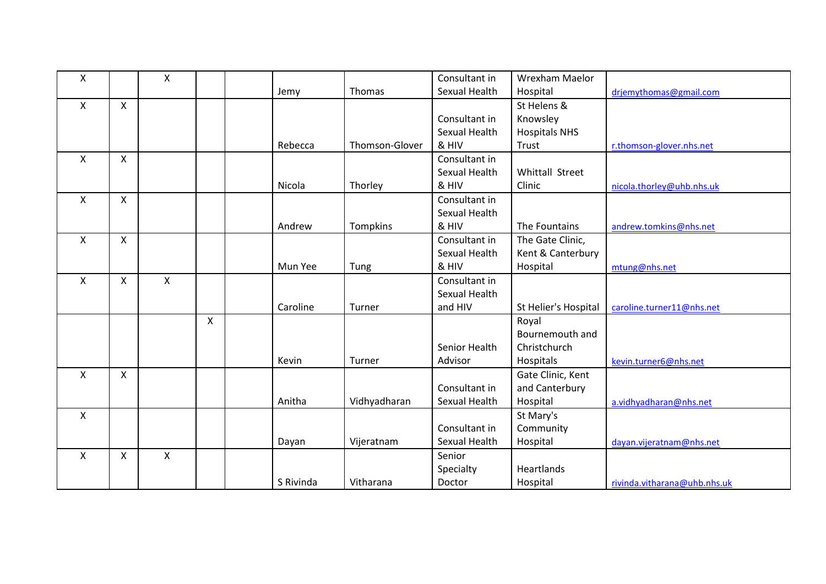| Χ                         |                    | X |   |           |                | Consultant in        | Wrexham Maelor       |                              |
|---------------------------|--------------------|---|---|-----------|----------------|----------------------|----------------------|------------------------------|
|                           |                    |   |   | Jemy      | Thomas         | <b>Sexual Health</b> | Hospital             | drjemythomas@gmail.com       |
| X                         | $\pmb{\times}$     |   |   |           |                |                      | St Helens &          |                              |
|                           |                    |   |   |           |                | Consultant in        | Knowsley             |                              |
|                           |                    |   |   |           |                | Sexual Health        | <b>Hospitals NHS</b> |                              |
|                           |                    |   |   | Rebecca   | Thomson-Glover | & HIV                | Trust                | r.thomson-glover.nhs.net     |
| X                         | X                  |   |   |           |                | Consultant in        |                      |                              |
|                           |                    |   |   |           |                | Sexual Health        | Whittall Street      |                              |
|                           |                    |   |   | Nicola    | Thorley        | & HIV                | Clinic               | nicola.thorley@uhb.nhs.uk    |
| $\boldsymbol{\mathsf{X}}$ | $\pmb{\mathsf{X}}$ |   |   |           |                | Consultant in        |                      |                              |
|                           |                    |   |   |           |                | Sexual Health        |                      |                              |
|                           |                    |   |   | Andrew    | Tompkins       | & HIV                | The Fountains        | andrew.tomkins@nhs.net       |
| X                         | X                  |   |   |           |                | Consultant in        | The Gate Clinic,     |                              |
|                           |                    |   |   |           |                | Sexual Health        | Kent & Canterbury    |                              |
|                           |                    |   |   | Mun Yee   | Tung           | & HIV                | Hospital             | mtung@nhs.net                |
| X                         | X                  | X |   |           |                | Consultant in        |                      |                              |
|                           |                    |   |   |           |                | Sexual Health        |                      |                              |
|                           |                    |   |   | Caroline  | Turner         | and HIV              | St Helier's Hospital | caroline.turner11@nhs.net    |
|                           |                    |   | X |           |                |                      | Royal                |                              |
|                           |                    |   |   |           |                |                      | Bournemouth and      |                              |
|                           |                    |   |   |           |                | Senior Health        | Christchurch         |                              |
|                           |                    |   |   | Kevin     | Turner         | Advisor              | Hospitals            | kevin.turner6@nhs.net        |
| X                         | X                  |   |   |           |                |                      | Gate Clinic, Kent    |                              |
|                           |                    |   |   |           |                | Consultant in        | and Canterbury       |                              |
|                           |                    |   |   | Anitha    | Vidhyadharan   | Sexual Health        | Hospital             | a.vidhyadharan@nhs.net       |
| X                         |                    |   |   |           |                |                      | St Mary's            |                              |
|                           |                    |   |   |           |                | Consultant in        | Community            |                              |
|                           |                    |   |   | Dayan     | Vijeratnam     | Sexual Health        | Hospital             | dayan.vijeratnam@nhs.net     |
| X                         | $\mathsf{X}$       | X |   |           |                | Senior               |                      |                              |
|                           |                    |   |   |           |                | Specialty            | Heartlands           |                              |
|                           |                    |   |   | S Rivinda | Vitharana      | Doctor               | Hospital             | rivinda.vitharana@uhb.nhs.uk |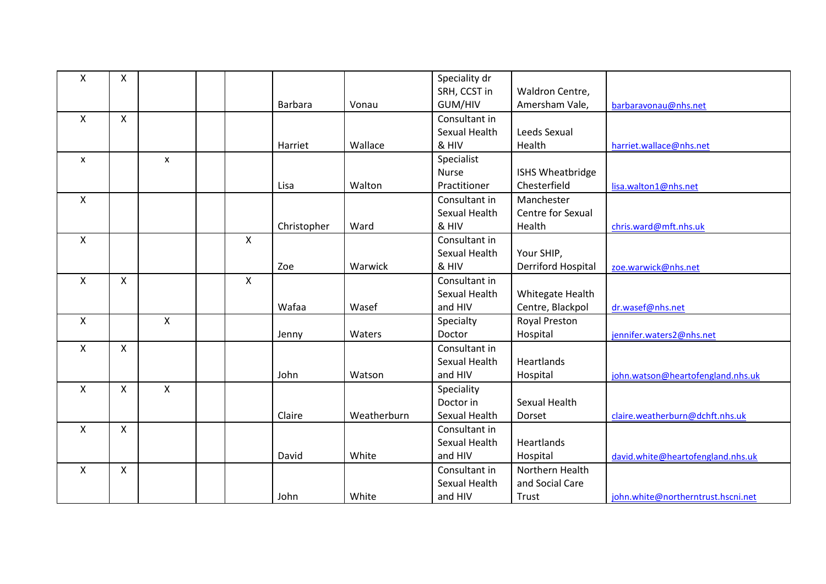| X            | X            |   |   |                |             | Speciality dr |                           |                                    |
|--------------|--------------|---|---|----------------|-------------|---------------|---------------------------|------------------------------------|
|              |              |   |   |                |             | SRH, CCST in  | Waldron Centre,           |                                    |
|              |              |   |   | <b>Barbara</b> | Vonau       | GUM/HIV       | Amersham Vale,            | barbaravonau@nhs.net               |
| X            | X            |   |   |                |             | Consultant in |                           |                                    |
|              |              |   |   |                |             | Sexual Health | Leeds Sexual              |                                    |
|              |              |   |   | Harriet        | Wallace     | & HIV         | Health                    | harriet.wallace@nhs.net            |
| X            |              | X |   |                |             | Specialist    |                           |                                    |
|              |              |   |   |                |             | <b>Nurse</b>  | ISHS Wheatbridge          |                                    |
|              |              |   |   | Lisa           | Walton      | Practitioner  | Chesterfield              | lisa.walton1@nhs.net               |
| X            |              |   |   |                |             | Consultant in | Manchester                |                                    |
|              |              |   |   |                |             | Sexual Health | Centre for Sexual         |                                    |
|              |              |   |   | Christopher    | Ward        | & HIV         | Health                    | chris.ward@mft.nhs.uk              |
| X            |              |   | X |                |             | Consultant in |                           |                                    |
|              |              |   |   |                |             | Sexual Health | Your SHIP,                |                                    |
|              |              |   |   | Zoe            | Warwick     | & HIV         | <b>Derriford Hospital</b> | zoe.warwick@nhs.net                |
| X            | X            |   | X |                |             | Consultant in |                           |                                    |
|              |              |   |   |                |             | Sexual Health | Whitegate Health          |                                    |
|              |              |   |   | Wafaa          | Wasef       | and HIV       | Centre, Blackpol          | dr.wasef@nhs.net                   |
| X            |              | Χ |   |                |             | Specialty     | <b>Royal Preston</b>      |                                    |
|              |              |   |   | Jenny          | Waters      | Doctor        | Hospital                  | jennifer.waters2@nhs.net           |
| X            | X            |   |   |                |             | Consultant in |                           |                                    |
|              |              |   |   |                |             | Sexual Health | Heartlands                |                                    |
|              |              |   |   | John           | Watson      | and HIV       | Hospital                  | john.watson@heartofengland.nhs.uk  |
| $\mathsf{x}$ | X            | X |   |                |             | Speciality    |                           |                                    |
|              |              |   |   |                |             | Doctor in     | Sexual Health             |                                    |
|              |              |   |   | Claire         | Weatherburn | Sexual Health | Dorset                    | claire.weatherburn@dchft.nhs.uk    |
| X            | $\mathsf{X}$ |   |   |                |             | Consultant in |                           |                                    |
|              |              |   |   |                |             | Sexual Health | Heartlands                |                                    |
|              |              |   |   | David          | White       | and HIV       | Hospital                  | david.white@heartofengland.nhs.uk  |
| $\mathsf{x}$ | $\mathsf{x}$ |   |   |                |             | Consultant in | Northern Health           |                                    |
|              |              |   |   |                |             | Sexual Health | and Social Care           |                                    |
|              |              |   |   | John           | White       | and HIV       | Trust                     | john.white@northerntrust.hscni.net |